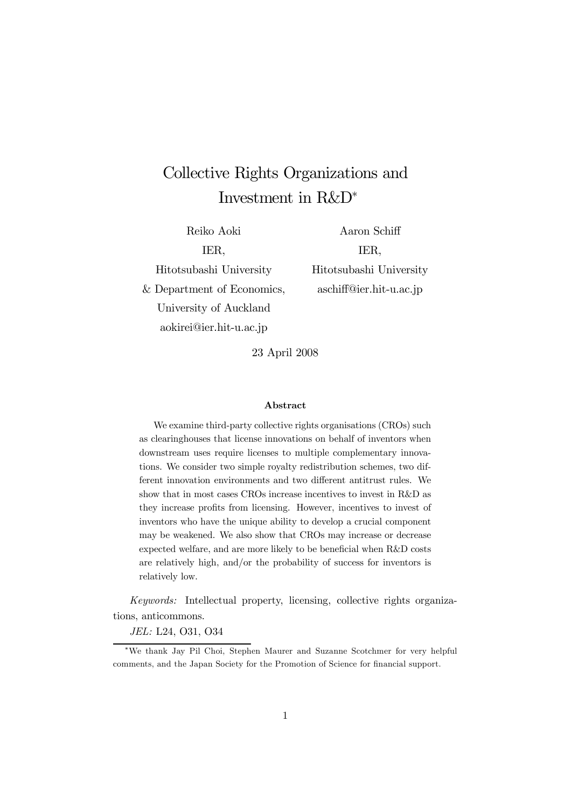# Collective Rights Organizations and Investment in R&D<sup>∗</sup>

Reiko Aoki IER, Hitotsubashi University & Department of Economics, University of Auckland

aokirei@ier.hit-u.ac.jp

Aaron Schiff IER, Hitotsubashi University aschiff@ier.hit-u.ac.jp

23 April 2008

#### Abstract

We examine third-party collective rights organisations (CROs) such as clearinghouses that license innovations on behalf of inventors when downstream uses require licenses to multiple complementary innovations. We consider two simple royalty redistribution schemes, two different innovation environments and two different antitrust rules. We show that in most cases CROs increase incentives to invest in R&D as they increase profits from licensing. However, incentives to invest of inventors who have the unique ability to develop a crucial component may be weakened. We also show that CROs may increase or decrease expected welfare, and are more likely to be beneficial when R&D costs are relatively high, and/or the probability of success for inventors is relatively low.

Keywords: Intellectual property, licensing, collective rights organizations, anticommons.

JEL: L24, O31, O34

<sup>∗</sup>We thank Jay Pil Choi, Stephen Maurer and Suzanne Scotchmer for very helpful comments, and the Japan Society for the Promotion of Science for financial support.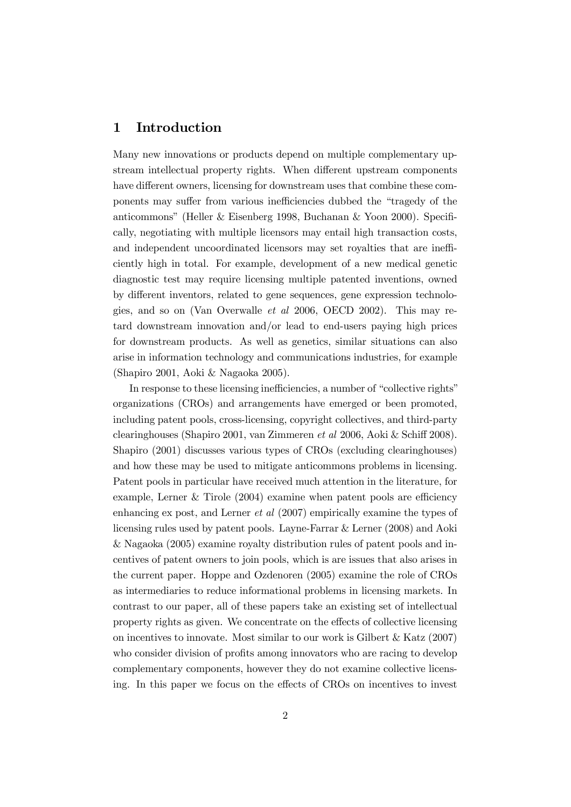## 1 Introduction

Many new innovations or products depend on multiple complementary upstream intellectual property rights. When different upstream components have different owners, licensing for downstream uses that combine these components may suffer from various inefficiencies dubbed the "tragedy of the anticommons" (Heller & Eisenberg 1998, Buchanan & Yoon 2000). Specifically, negotiating with multiple licensors may entail high transaction costs, and independent uncoordinated licensors may set royalties that are inefficiently high in total. For example, development of a new medical genetic diagnostic test may require licensing multiple patented inventions, owned by different inventors, related to gene sequences, gene expression technologies, and so on (Van Overwalle et al 2006, OECD 2002). This may retard downstream innovation and/or lead to end-users paying high prices for downstream products. As well as genetics, similar situations can also arise in information technology and communications industries, for example (Shapiro 2001, Aoki & Nagaoka 2005).

In response to these licensing inefficiencies, a number of "collective rights" organizations (CROs) and arrangements have emerged or been promoted, including patent pools, cross-licensing, copyright collectives, and third-party clearinghouses (Shapiro 2001, van Zimmeren et al 2006, Aoki & Schiff 2008). Shapiro (2001) discusses various types of CROs (excluding clearinghouses) and how these may be used to mitigate anticommons problems in licensing. Patent pools in particular have received much attention in the literature, for example, Lerner & Tirole (2004) examine when patent pools are efficiency enhancing ex post, and Lerner et al (2007) empirically examine the types of licensing rules used by patent pools. Layne-Farrar & Lerner (2008) and Aoki & Nagaoka (2005) examine royalty distribution rules of patent pools and incentives of patent owners to join pools, which is are issues that also arises in the current paper. Hoppe and Ozdenoren (2005) examine the role of CROs as intermediaries to reduce informational problems in licensing markets. In contrast to our paper, all of these papers take an existing set of intellectual property rights as given. We concentrate on the effects of collective licensing on incentives to innovate. Most similar to our work is Gilbert  $&$  Katz (2007) who consider division of profits among innovators who are racing to develop complementary components, however they do not examine collective licensing. In this paper we focus on the effects of CROs on incentives to invest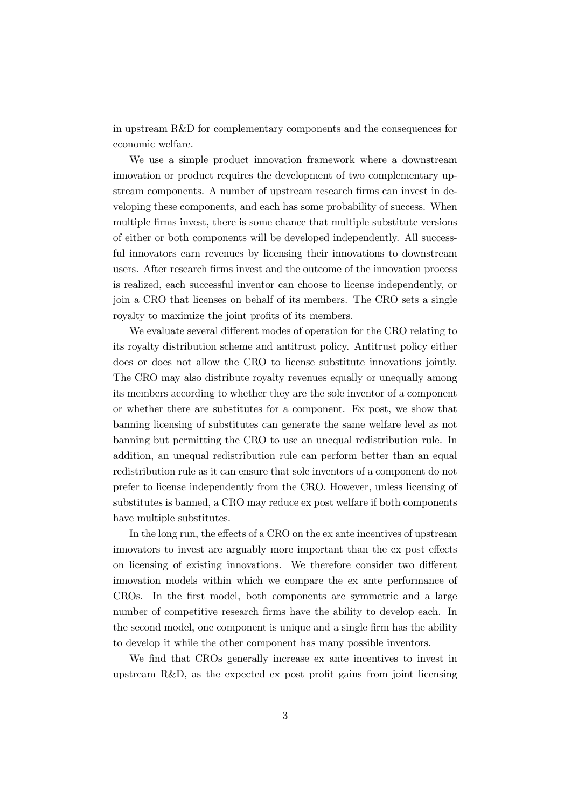in upstream R&D for complementary components and the consequences for economic welfare.

We use a simple product innovation framework where a downstream innovation or product requires the development of two complementary upstream components. A number of upstream research firms can invest in developing these components, and each has some probability of success. When multiple firms invest, there is some chance that multiple substitute versions of either or both components will be developed independently. All successful innovators earn revenues by licensing their innovations to downstream users. After research firms invest and the outcome of the innovation process is realized, each successful inventor can choose to license independently, or join a CRO that licenses on behalf of its members. The CRO sets a single royalty to maximize the joint profits of its members.

We evaluate several different modes of operation for the CRO relating to its royalty distribution scheme and antitrust policy. Antitrust policy either does or does not allow the CRO to license substitute innovations jointly. The CRO may also distribute royalty revenues equally or unequally among its members according to whether they are the sole inventor of a component or whether there are substitutes for a component. Ex post, we show that banning licensing of substitutes can generate the same welfare level as not banning but permitting the CRO to use an unequal redistribution rule. In addition, an unequal redistribution rule can perform better than an equal redistribution rule as it can ensure that sole inventors of a component do not prefer to license independently from the CRO. However, unless licensing of substitutes is banned, a CRO may reduce ex post welfare if both components have multiple substitutes.

In the long run, the effects of a CRO on the ex ante incentives of upstream innovators to invest are arguably more important than the ex post effects on licensing of existing innovations. We therefore consider two different innovation models within which we compare the ex ante performance of CROs. In the first model, both components are symmetric and a large number of competitive research firms have the ability to develop each. In the second model, one component is unique and a single firm has the ability to develop it while the other component has many possible inventors.

We find that CROs generally increase ex ante incentives to invest in upstream R&D, as the expected ex post profit gains from joint licensing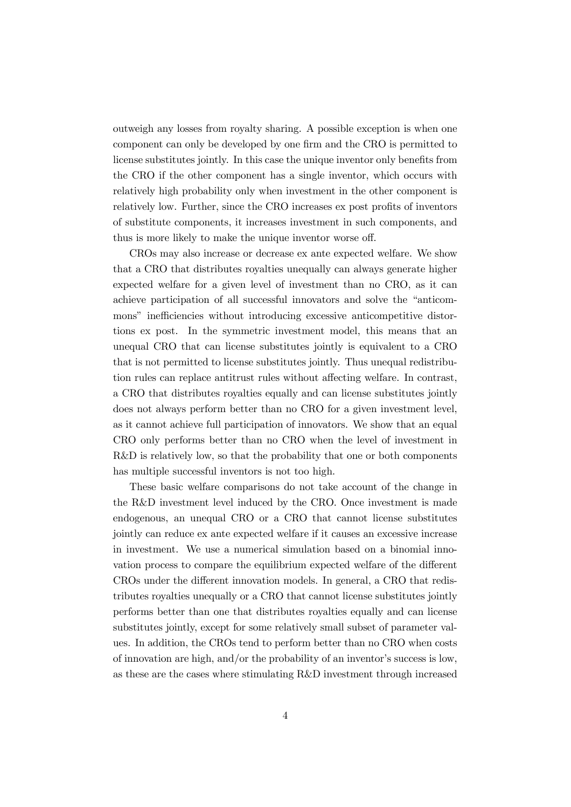outweigh any losses from royalty sharing. A possible exception is when one component can only be developed by one firm and the CRO is permitted to license substitutes jointly. In this case the unique inventor only benefits from the CRO if the other component has a single inventor, which occurs with relatively high probability only when investment in the other component is relatively low. Further, since the CRO increases ex post profits of inventors of substitute components, it increases investment in such components, and thus is more likely to make the unique inventor worse off.

CROs may also increase or decrease ex ante expected welfare. We show that a CRO that distributes royalties unequally can always generate higher expected welfare for a given level of investment than no CRO, as it can achieve participation of all successful innovators and solve the "anticommons" inefficiencies without introducing excessive anticompetitive distortions ex post. In the symmetric investment model, this means that an unequal CRO that can license substitutes jointly is equivalent to a CRO that is not permitted to license substitutes jointly. Thus unequal redistribution rules can replace antitrust rules without affecting welfare. In contrast, a CRO that distributes royalties equally and can license substitutes jointly does not always perform better than no CRO for a given investment level, as it cannot achieve full participation of innovators. We show that an equal CRO only performs better than no CRO when the level of investment in R&D is relatively low, so that the probability that one or both components has multiple successful inventors is not too high.

These basic welfare comparisons do not take account of the change in the R&D investment level induced by the CRO. Once investment is made endogenous, an unequal CRO or a CRO that cannot license substitutes jointly can reduce ex ante expected welfare if it causes an excessive increase in investment. We use a numerical simulation based on a binomial innovation process to compare the equilibrium expected welfare of the different CROs under the different innovation models. In general, a CRO that redistributes royalties unequally or a CRO that cannot license substitutes jointly performs better than one that distributes royalties equally and can license substitutes jointly, except for some relatively small subset of parameter values. In addition, the CROs tend to perform better than no CRO when costs of innovation are high, and/or the probability of an inventor's success is low, as these are the cases where stimulating R&D investment through increased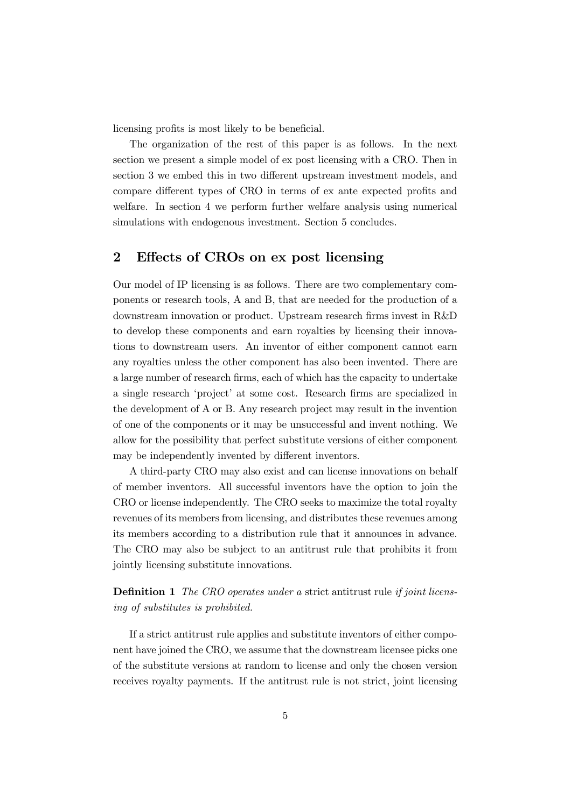licensing profits is most likely to be beneficial.

The organization of the rest of this paper is as follows. In the next section we present a simple model of ex post licensing with a CRO. Then in section 3 we embed this in two different upstream investment models, and compare different types of CRO in terms of ex ante expected profits and welfare. In section 4 we perform further welfare analysis using numerical simulations with endogenous investment. Section 5 concludes.

## 2 Effects of CROs on ex post licensing

Our model of IP licensing is as follows. There are two complementary components or research tools, A and B, that are needed for the production of a downstream innovation or product. Upstream research firms invest in R&D to develop these components and earn royalties by licensing their innovations to downstream users. An inventor of either component cannot earn any royalties unless the other component has also been invented. There are a large number of research firms, each of which has the capacity to undertake a single research 'project' at some cost. Research firms are specialized in the development of A or B. Any research project may result in the invention of one of the components or it may be unsuccessful and invent nothing. We allow for the possibility that perfect substitute versions of either component may be independently invented by different inventors.

A third-party CRO may also exist and can license innovations on behalf of member inventors. All successful inventors have the option to join the CRO or license independently. The CRO seeks to maximize the total royalty revenues of its members from licensing, and distributes these revenues among its members according to a distribution rule that it announces in advance. The CRO may also be subject to an antitrust rule that prohibits it from jointly licensing substitute innovations.

**Definition 1** The CRO operates under a strict antitrust rule if joint licensing of substitutes is prohibited.

If a strict antitrust rule applies and substitute inventors of either component have joined the CRO, we assume that the downstream licensee picks one of the substitute versions at random to license and only the chosen version receives royalty payments. If the antitrust rule is not strict, joint licensing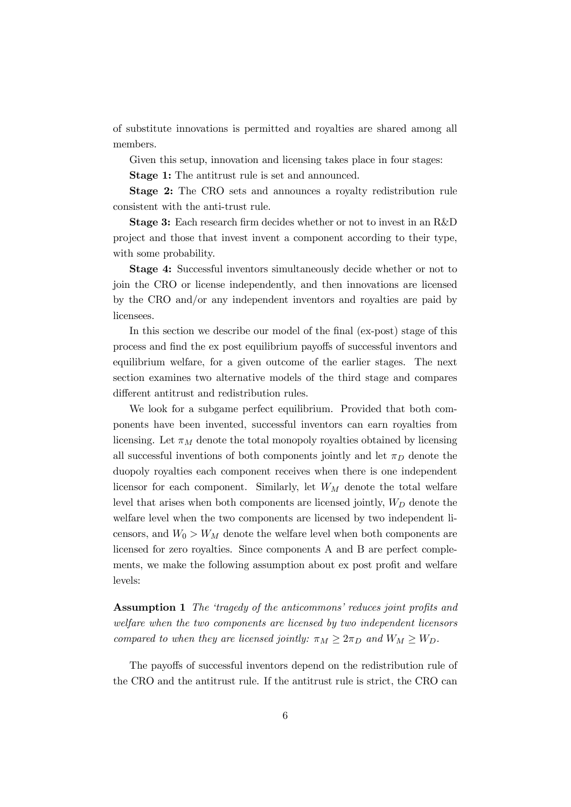of substitute innovations is permitted and royalties are shared among all members.

Given this setup, innovation and licensing takes place in four stages:

Stage 1: The antitrust rule is set and announced.

Stage 2: The CRO sets and announces a royalty redistribution rule consistent with the anti-trust rule.

Stage 3: Each research firm decides whether or not to invest in an R&D project and those that invest invent a component according to their type, with some probability.

Stage 4: Successful inventors simultaneously decide whether or not to join the CRO or license independently, and then innovations are licensed by the CRO and/or any independent inventors and royalties are paid by licensees.

In this section we describe our model of the final (ex-post) stage of this process and find the ex post equilibrium payoffs of successful inventors and equilibrium welfare, for a given outcome of the earlier stages. The next section examines two alternative models of the third stage and compares different antitrust and redistribution rules.

We look for a subgame perfect equilibrium. Provided that both components have been invented, successful inventors can earn royalties from licensing. Let  $\pi_M$  denote the total monopoly royalties obtained by licensing all successful inventions of both components jointly and let  $\pi_D$  denote the duopoly royalties each component receives when there is one independent licensor for each component. Similarly, let  $W_M$  denote the total welfare level that arises when both components are licensed jointly,  $W_D$  denote the welfare level when the two components are licensed by two independent licensors, and  $W_0 > W_M$  denote the welfare level when both components are licensed for zero royalties. Since components A and B are perfect complements, we make the following assumption about ex post profit and welfare levels:

Assumption 1 The 'tragedy of the anticommons' reduces joint profits and welfare when the two components are licensed by two independent licensors compared to when they are licensed jointly:  $\pi_M \geq 2\pi_D$  and  $W_M \geq W_D$ .

The payoffs of successful inventors depend on the redistribution rule of the CRO and the antitrust rule. If the antitrust rule is strict, the CRO can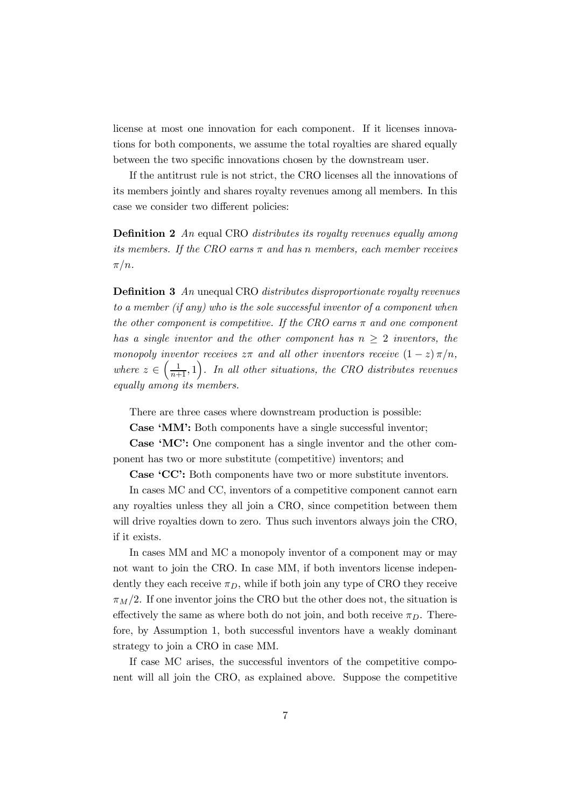license at most one innovation for each component. If it licenses innovations for both components, we assume the total royalties are shared equally between the two specific innovations chosen by the downstream user.

If the antitrust rule is not strict, the CRO licenses all the innovations of its members jointly and shares royalty revenues among all members. In this case we consider two different policies:

Definition 2 An equal CRO distributes its royalty revenues equally among its members. If the CRO earns  $\pi$  and has n members, each member receives  $\pi/n$ .

Definition 3 An unequal CRO distributes disproportionate royalty revenues to a member (if any) who is the sole successful inventor of a component when the other component is competitive. If the CRO earns  $\pi$  and one component has a single inventor and the other component has  $n \geq 2$  inventors, the monopoly inventor receives  $z\pi$  and all other inventors receive  $(1-z)\pi/n$ , where  $z \in \left(\frac{1}{n+1}, 1\right)$ . In all other situations, the CRO distributes revenues equally among its members.

There are three cases where downstream production is possible:

Case 'MM': Both components have a single successful inventor;

Case 'MC': One component has a single inventor and the other component has two or more substitute (competitive) inventors; and

Case 'CC': Both components have two or more substitute inventors.

In cases MC and CC, inventors of a competitive component cannot earn any royalties unless they all join a CRO, since competition between them will drive royalties down to zero. Thus such inventors always join the CRO, if it exists.

In cases MM and MC a monopoly inventor of a component may or may not want to join the CRO. In case MM, if both inventors license independently they each receive  $\pi_D$ , while if both join any type of CRO they receive  $\pi_M/2$ . If one inventor joins the CRO but the other does not, the situation is effectively the same as where both do not join, and both receive  $\pi_D$ . Therefore, by Assumption 1, both successful inventors have a weakly dominant strategy to join a CRO in case MM.

If case MC arises, the successful inventors of the competitive component will all join the CRO, as explained above. Suppose the competitive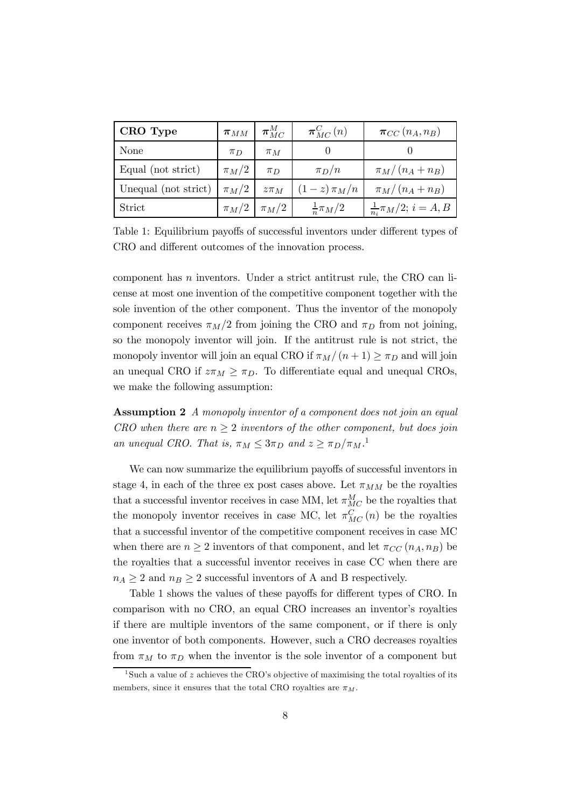| CRO Type                       | $\boldsymbol{\pi}_{MM}$ | $\bm{\pi}^{M}_{MC}$    | $\pi_{MC}^C(n)$      | $\pi_{CC}(n_A, n_B)$             |
|--------------------------------|-------------------------|------------------------|----------------------|----------------------------------|
| <b>None</b>                    | $\pi_D$                 | $\pi_M$                |                      |                                  |
| Equal (not strict)             | $\pi_M/2$               | $\pi_D$                | $\pi_D/n$            | $\pi_M/(n_A+n_B)$                |
| Unequal (not strict) $\pi_M/2$ |                         | $z\pi_M$               | $(1-z)\pi_M/n$       | $\pi_M/(n_A+n_B)$                |
| Strict                         |                         | $\pi_M/2 \mid \pi_M/2$ | $\frac{1}{n}\pi_M/2$ | $\frac{1}{n_i}\pi_M/2; i = A, B$ |

Table 1: Equilibrium payoffs of successful inventors under different types of CRO and different outcomes of the innovation process.

component has n inventors. Under a strict antitrust rule, the CRO can license at most one invention of the competitive component together with the sole invention of the other component. Thus the inventor of the monopoly component receives  $\pi_M/2$  from joining the CRO and  $\pi_D$  from not joining, so the monopoly inventor will join. If the antitrust rule is not strict, the monopoly inventor will join an equal CRO if  $\pi_M/(n+1) \geq \pi_D$  and will join an unequal CRO if  $z\pi_M \geq \pi_D$ . To differentiate equal and unequal CROs, we make the following assumption:

Assumption 2 A monopoly inventor of a component does not join an equal CRO when there are  $n \geq 2$  inventors of the other component, but does join an unequal CRO. That is,  $\pi_M \leq 3\pi_D$  and  $z \geq \pi_D/\pi_M$ .<sup>1</sup>

We can now summarize the equilibrium payoffs of successful inventors in stage 4, in each of the three ex post cases above. Let  $\pi_{MM}$  be the royalties that a successful inventor receives in case MM, let  $\pi_{MC}^M$  be the royalties that the monopoly inventor receives in case MC, let  $\pi_{MC}^C(n)$  be the royalties that a successful inventor of the competitive component receives in case MC when there are  $n \geq 2$  inventors of that component, and let  $\pi_{CC}(n_A, n_B)$  be the royalties that a successful inventor receives in case CC when there are  $n_A \geq 2$  and  $n_B \geq 2$  successful inventors of A and B respectively.

Table 1 shows the values of these payoffs for different types of CRO. In comparison with no CRO, an equal CRO increases an inventor's royalties if there are multiple inventors of the same component, or if there is only one inventor of both components. However, such a CRO decreases royalties from  $\pi_M$  to  $\pi_D$  when the inventor is the sole inventor of a component but

<sup>&</sup>lt;sup>1</sup>Such a value of z achieves the CRO's objective of maximising the total royalties of its members, since it ensures that the total CRO royalties are  $\pi_M$ .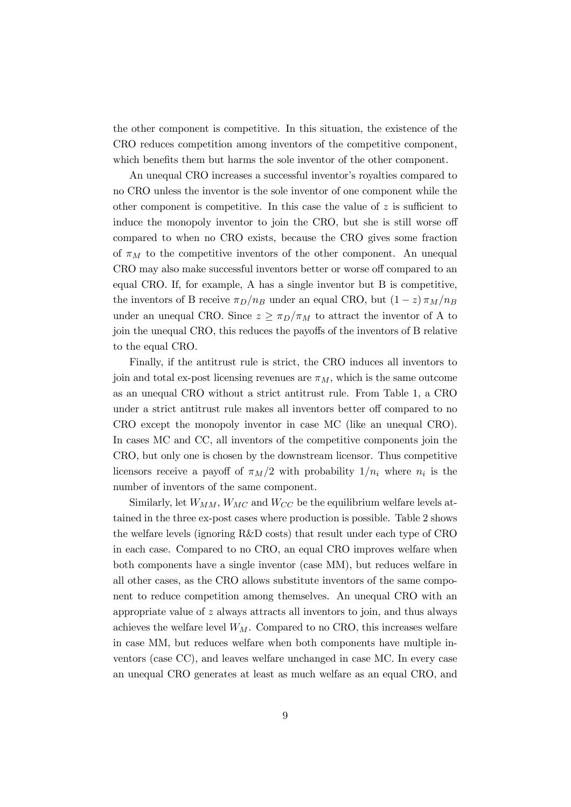the other component is competitive. In this situation, the existence of the CRO reduces competition among inventors of the competitive component, which benefits them but harms the sole inventor of the other component.

An unequal CRO increases a successful inventor's royalties compared to no CRO unless the inventor is the sole inventor of one component while the other component is competitive. In this case the value of  $z$  is sufficient to induce the monopoly inventor to join the CRO, but she is still worse off compared to when no CRO exists, because the CRO gives some fraction of  $\pi_M$  to the competitive inventors of the other component. An unequal CRO may also make successful inventors better or worse off compared to an equal CRO. If, for example, A has a single inventor but B is competitive, the inventors of B receive  $\pi_D/n_B$  under an equal CRO, but  $(1-z)\pi_M/n_B$ under an unequal CRO. Since  $z \geq \pi_D/\pi_M$  to attract the inventor of A to join the unequal CRO, this reduces the payoffs of the inventors of B relative to the equal CRO.

Finally, if the antitrust rule is strict, the CRO induces all inventors to join and total ex-post licensing revenues are  $\pi_M$ , which is the same outcome as an unequal CRO without a strict antitrust rule. From Table 1, a CRO under a strict antitrust rule makes all inventors better off compared to no CRO except the monopoly inventor in case MC (like an unequal CRO). In cases MC and CC, all inventors of the competitive components join the CRO, but only one is chosen by the downstream licensor. Thus competitive licensors receive a payoff of  $\pi_M/2$  with probability  $1/n_i$  where  $n_i$  is the number of inventors of the same component.

Similarly, let  $W_{MM}$ ,  $W_{MC}$  and  $W_{CC}$  be the equilibrium welfare levels attained in the three ex-post cases where production is possible. Table 2 shows the welfare levels (ignoring R&D costs) that result under each type of CRO in each case. Compared to no CRO, an equal CRO improves welfare when both components have a single inventor (case MM), but reduces welfare in all other cases, as the CRO allows substitute inventors of the same component to reduce competition among themselves. An unequal CRO with an appropriate value of z always attracts all inventors to join, and thus always achieves the welfare level  $W_M$ . Compared to no CRO, this increases welfare in case MM, but reduces welfare when both components have multiple inventors (case CC), and leaves welfare unchanged in case MC. In every case an unequal CRO generates at least as much welfare as an equal CRO, and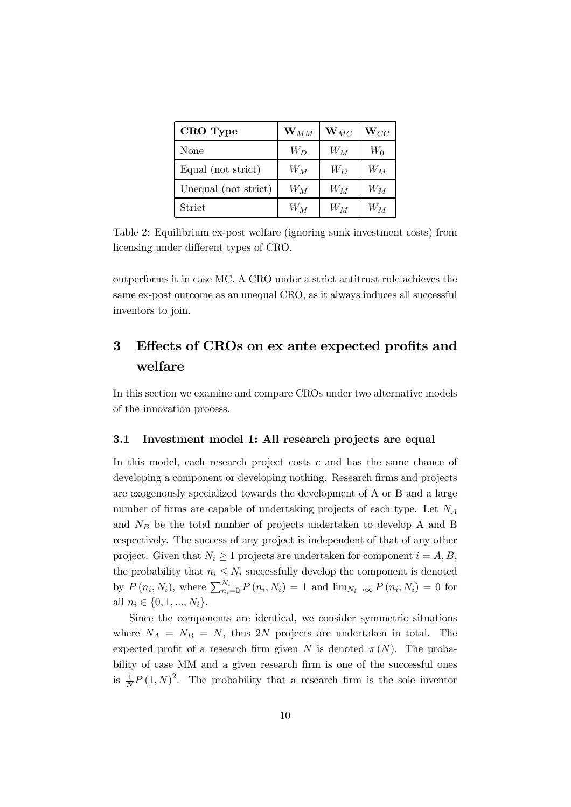| CRO Type             | $\mathbf{W}_{MM}$ | $\mathbf{W}_{MC}$ | $\mathbf{W}_{CC}$ |
|----------------------|-------------------|-------------------|-------------------|
| None                 | $W_D$             | $W_M$             | $W_0$             |
| Equal (not strict)   | $W_M$             | $W_D$             | $W_M$             |
| Unequal (not strict) | $W_M$             | $W_M$             | $W_M$             |
| Strict               | $W_M$             | $W_M$             | $W_M$             |

Table 2: Equilibrium ex-post welfare (ignoring sunk investment costs) from licensing under different types of CRO.

outperforms it in case MC. A CRO under a strict antitrust rule achieves the same ex-post outcome as an unequal CRO, as it always induces all successful inventors to join.

## 3 Effects of CROs on ex ante expected profits and welfare

In this section we examine and compare CROs under two alternative models of the innovation process.

#### 3.1 Investment model 1: All research projects are equal

In this model, each research project costs  $c$  and has the same chance of developing a component or developing nothing. Research firms and projects are exogenously specialized towards the development of A or B and a large number of firms are capable of undertaking projects of each type. Let  $N_A$ and  $N_B$  be the total number of projects undertaken to develop A and B respectively. The success of any project is independent of that of any other project. Given that  $N_i \geq 1$  projects are undertaken for component  $i = A, B$ , the probability that  $n_i \leq N_i$  successfully develop the component is denoted by  $P(n_i, N_i)$ , where  $\sum_{n_i=0}^{N_i} P(n_i, N_i) = 1$  and  $\lim_{N_i \to \infty} P(n_i, N_i) = 0$  for all  $n_i \in \{0, 1, ..., N_i\}.$ 

Since the components are identical, we consider symmetric situations where  $N_A = N_B = N$ , thus 2N projects are undertaken in total. The expected profit of a research firm given N is denoted  $\pi(N)$ . The probability of case MM and a given research firm is one of the successful ones is  $\frac{1}{N}P(1,N)^2$ . The probability that a research firm is the sole inventor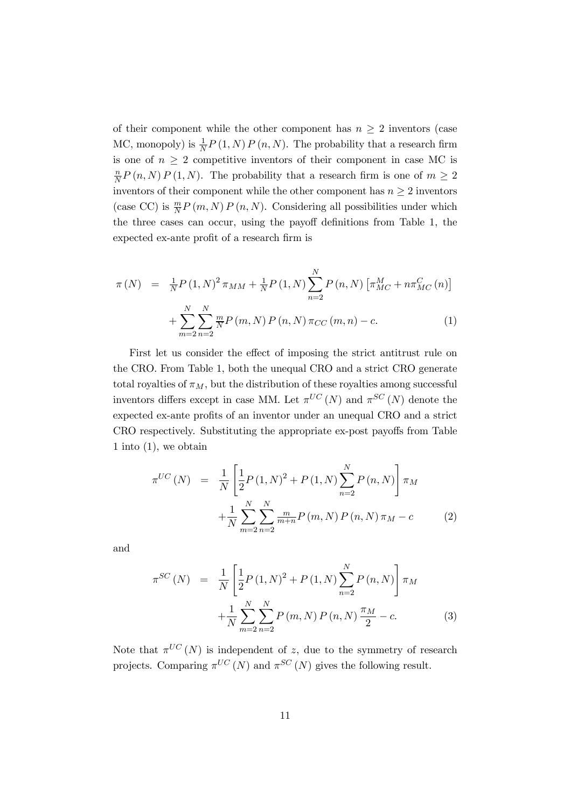of their component while the other component has  $n \geq 2$  inventors (case MC, monopoly) is  $\frac{1}{N}P(1,N)P(n,N)$ . The probability that a research firm is one of  $n \geq 2$  competitive inventors of their component in case MC is n  $\frac{n}{N}P(n,N)P(1,N)$ . The probability that a research firm is one of  $m \geq 2$ inventors of their component while the other component has  $n \geq 2$  inventors (case CC) is  $\frac{m}{N}P(m, N)P(n, N)$ . Considering all possibilities under which the three cases can occur, using the payoff definitions from Table 1, the expected ex-ante profit of a research firm is

$$
\pi(N) = \frac{1}{N} P(1, N)^2 \pi_{MM} + \frac{1}{N} P(1, N) \sum_{n=2}^{N} P(n, N) \left[ \pi_{MC}^M + n \pi_{MC}^C(n) \right] + \sum_{m=2}^{N} \sum_{n=2}^{N} \frac{m}{N} P(m, N) P(n, N) \pi_{CC}(m, n) - c.
$$
 (1)

First let us consider the effect of imposing the strict antitrust rule on the CRO. From Table 1, both the unequal CRO and a strict CRO generate total royalties of  $\pi_M$ , but the distribution of these royalties among successful inventors differs except in case MM. Let  $\pi^{UC}(N)$  and  $\pi^{SC}(N)$  denote the expected ex-ante profits of an inventor under an unequal CRO and a strict CRO respectively. Substituting the appropriate ex-post payoffs from Table 1 into (1), we obtain

$$
\pi^{UC}(N) = \frac{1}{N} \left[ \frac{1}{2} P(1, N)^2 + P(1, N) \sum_{n=2}^{N} P(n, N) \right] \pi_M
$$
  
+ 
$$
\frac{1}{N} \sum_{m=2}^{N} \sum_{n=2}^{N} \frac{m}{m+n} P(m, N) P(n, N) \pi_M - c
$$
 (2)

and

$$
\pi^{SC}(N) = \frac{1}{N} \left[ \frac{1}{2} P(1, N)^2 + P(1, N) \sum_{n=2}^{N} P(n, N) \right] \pi_M
$$

$$
+ \frac{1}{N} \sum_{m=2}^{N} \sum_{n=2}^{N} P(m, N) P(n, N) \frac{\pi_M}{2} - c. \tag{3}
$$

Note that  $\pi^{UC}(N)$  is independent of z, due to the symmetry of research projects. Comparing  $\pi^{UC}(N)$  and  $\pi^{SC}(N)$  gives the following result.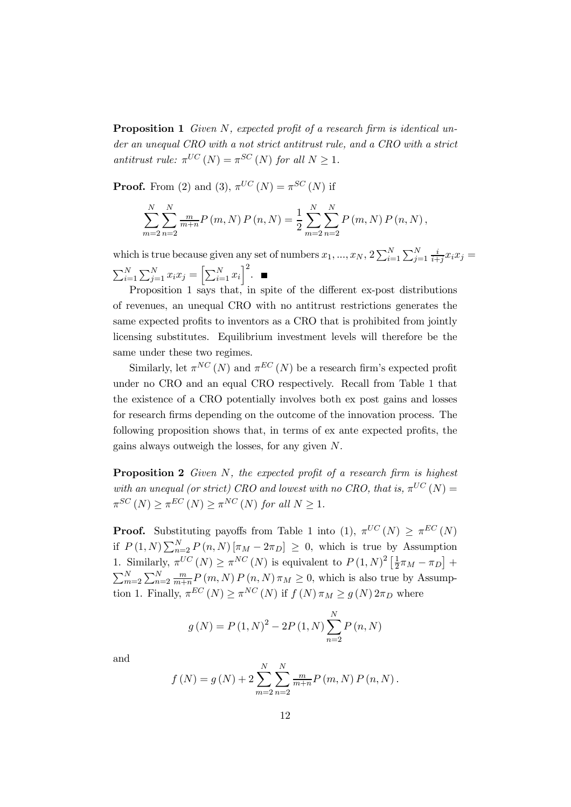**Proposition 1** Given N, expected profit of a research firm is identical under an unequal CRO with a not strict antitrust rule, and a CRO with a strict antitrust rule:  $\pi^{UC}(N) = \pi^{SC}(N)$  for all  $N \geq 1$ .

**Proof.** From (2) and (3),  $\pi^{UC}(N) = \pi^{SC}(N)$  if

$$
\sum_{m=2}^{N} \sum_{n=2}^{N} \frac{m}{m+n} P(m, N) P(n, N) = \frac{1}{2} \sum_{m=2}^{N} \sum_{n=2}^{N} P(m, N) P(n, N),
$$

which is true because given any set of numbers  $x_1, ..., x_N$ ,  $2\sum_{i=1}^N\sum_{j=1}^N\frac{i}{i+j}x_ix_j =$  $\sum_{i=1}^{N} \sum_{j=1}^{N} x_i x_j = \left[ \sum_{i=1}^{N} x_i \right]^2$ .

Proposition 1 says that, in spite of the different ex-post distributions of revenues, an unequal CRO with no antitrust restrictions generates the same expected profits to inventors as a CRO that is prohibited from jointly licensing substitutes. Equilibrium investment levels will therefore be the same under these two regimes.

Similarly, let  $\pi^{NC}(N)$  and  $\pi^{EC}(N)$  be a research firm's expected profit under no CRO and an equal CRO respectively. Recall from Table 1 that the existence of a CRO potentially involves both ex post gains and losses for research firms depending on the outcome of the innovation process. The following proposition shows that, in terms of ex ante expected profits, the gains always outweigh the losses, for any given N.

**Proposition 2** Given  $N$ , the expected profit of a research firm is highest with an unequal (or strict) CRO and lowest with no CRO, that is,  $\pi^{UC}(N) =$  $\pi^{SC}(N) \geq \pi^{EC}(N) \geq \pi^{NC}(N)$  for all  $N \geq 1$ .

**Proof.** Substituting payoffs from Table 1 into (1),  $\pi^{UC}(N) \geq \pi^{EC}(N)$ if  $P(1,N) \sum_{n=2}^{N} P(n,N) [\pi_M - 2\pi_D] \geq 0$ , which is true by Assumption 1. Similarly,  $\pi^{UC}(N) \geq \pi^{NC}(N)$  is equivalent to  $P(1,N)^2\left[\frac{1}{2}\right]$  $\frac{1}{2}\pi_M - \pi_D$  +  $\sum_{m=2}^{N} \sum_{n=2}^{N} \frac{m}{m+n} P(m,N) P(n,N) \pi_M \geq 0$ , which is also true by Assumption 1. Finally,  $\pi^{EC}(N) \geq \pi^{NC}(N)$  if  $f(N) \pi_M \geq g(N) 2\pi_D$  where

$$
g(N) = P(1, N)^{2} - 2P(1, N) \sum_{n=2}^{N} P(n, N)
$$

and

$$
f(N) = g(N) + 2 \sum_{m=2}^{N} \sum_{n=2}^{N} \frac{m}{m+n} P(m, N) P(n, N).
$$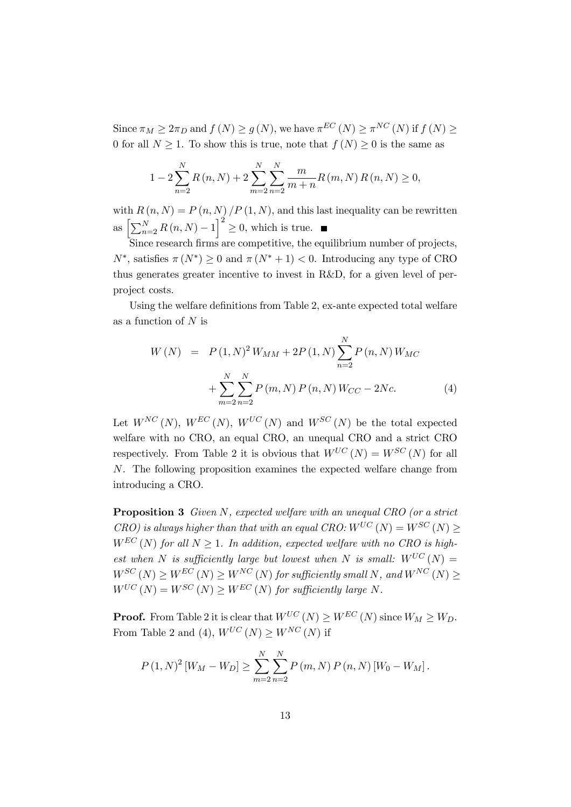Since  $\pi_M \geq 2\pi_D$  and  $f(N) \geq g(N)$ , we have  $\pi^{EC}(N) \geq \pi^{NC}(N)$  if  $f(N) \geq$ 0 for all  $N > 1$ . To show this is true, note that  $f(N) > 0$  is the same as

$$
1 - 2\sum_{n=2}^{N} R(n, N) + 2\sum_{m=2}^{N} \sum_{n=2}^{N} \frac{m}{m+n} R(m, N) R(n, N) \ge 0,
$$

with  $R(n, N) = P(n, N) / P(1, N)$ , and this last inequality can be rewritten as  $\left[\sum_{n=2}^{N} R(n,N)-1\right]^2$  $\geq 0$ , which is true.

Since research firms are competitive, the equilibrium number of projects,  $N^*$ , satisfies  $\pi(N^*) \geq 0$  and  $\pi(N^* + 1) < 0$ . Introducing any type of CRO thus generates greater incentive to invest in R&D, for a given level of perproject costs.

Using the welfare definitions from Table 2, ex-ante expected total welfare as a function of N is

$$
W(N) = P(1, N)^{2} W_{MM} + 2P(1, N) \sum_{n=2}^{N} P(n, N) W_{MC}
$$

$$
+ \sum_{m=2}^{N} \sum_{n=2}^{N} P(m, N) P(n, N) W_{CC} - 2Nc. \tag{4}
$$

Let  $W^{NC}(N)$ ,  $W^{EC}(N)$ ,  $W^{UC}(N)$  and  $W^{SC}(N)$  be the total expected welfare with no CRO, an equal CRO, an unequal CRO and a strict CRO respectively. From Table 2 it is obvious that  $W^{UC}(N) = W^{SC}(N)$  for all N. The following proposition examines the expected welfare change from introducing a CRO.

Proposition 3 Given N, expected welfare with an unequal CRO (or a strict  $CRO$ ) is always higher than that with an equal  $CRO: W^{UC}(N) = W^{SC}(N) > 0$  $W^{EC}(N)$  for all  $N \geq 1$ . In addition, expected welfare with no CRO is highest when N is sufficiently large but lowest when N is small:  $W^{UC}(N) =$  $W^{SC}(N) \geq W^{EC}(N) \geq W^{NC}(N)$  for sufficiently small N, and  $W^{NC}(N) \geq$  $W^{UC}(N) = W^{SC}(N) \geq W^{EC}(N)$  for sufficiently large N.

**Proof.** From Table 2 it is clear that  $W^{UC}(N) > W^{EC}(N)$  since  $W_M > W_D$ . From Table 2 and (4),  $W^{UC}(N) \geq W^{NC}(N)$  if

$$
P(1, N)^{2} [W_{M} - W_{D}] \geq \sum_{m=2}^{N} \sum_{n=2}^{N} P(m, N) P(n, N) [W_{0} - W_{M}].
$$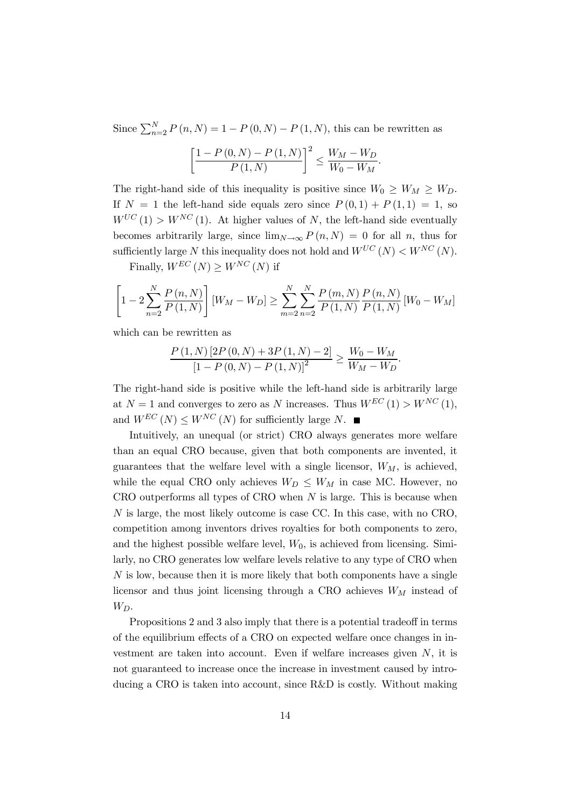Since  $\sum_{n=2}^{N} P(n, N) = 1 - P(0, N) - P(1, N)$ , this can be rewritten as

$$
\left[\frac{1 - P(0, N) - P(1, N)}{P(1, N)}\right]^2 \le \frac{W_M - W_D}{W_0 - W_M}.
$$

The right-hand side of this inequality is positive since  $W_0 \geq W_M \geq W_D$ . If  $N = 1$  the left-hand side equals zero since  $P(0, 1) + P(1, 1) = 1$ , so  $W^{UC}(1) > W^{NC}(1)$ . At higher values of N, the left-hand side eventually becomes arbitrarily large, since  $\lim_{N\to\infty} P(n,N) = 0$  for all n, thus for sufficiently large N this inequality does not hold and  $W^{UC}(N) < W^{NC}(N)$ .

Finally,  $W^{EC}(N) \geq W^{NC}(N)$  if

$$
\left[1 - 2\sum_{n=2}^{N} \frac{P(n, N)}{P(1, N)}\right] [W_M - W_D] \ge \sum_{m=2}^{N} \sum_{n=2}^{N} \frac{P(m, N)}{P(1, N)} \frac{P(n, N)}{P(1, N)} [W_0 - W_M]
$$

which can be rewritten as

$$
\frac{P(1,N)[2P(0,N) + 3P(1,N) - 2]}{[1 - P(0,N) - P(1,N)]^2} \ge \frac{W_0 - W_M}{W_M - W_D}.
$$

The right-hand side is positive while the left-hand side is arbitrarily large at  $N = 1$  and converges to zero as N increases. Thus  $W^{EC}(1) > W^{NC}(1)$ , and  $W^{EC}(N) \leq W^{NC}(N)$  for sufficiently large N.  $\blacksquare$ 

Intuitively, an unequal (or strict) CRO always generates more welfare than an equal CRO because, given that both components are invented, it guarantees that the welfare level with a single licensor,  $W_M$ , is achieved, while the equal CRO only achieves  $W_D \leq W_M$  in case MC. However, no  $CRO$  outperforms all types of  $CRO$  when  $N$  is large. This is because when N is large, the most likely outcome is case CC. In this case, with no CRO, competition among inventors drives royalties for both components to zero, and the highest possible welfare level,  $W_0$ , is achieved from licensing. Similarly, no CRO generates low welfare levels relative to any type of CRO when  $N$  is low, because then it is more likely that both components have a single licensor and thus joint licensing through a CRO achieves  $W_M$  instead of  $W_D$ .

Propositions 2 and 3 also imply that there is a potential tradeoff in terms of the equilibrium effects of a CRO on expected welfare once changes in investment are taken into account. Even if welfare increases given  $N$ , it is not guaranteed to increase once the increase in investment caused by introducing a CRO is taken into account, since R&D is costly. Without making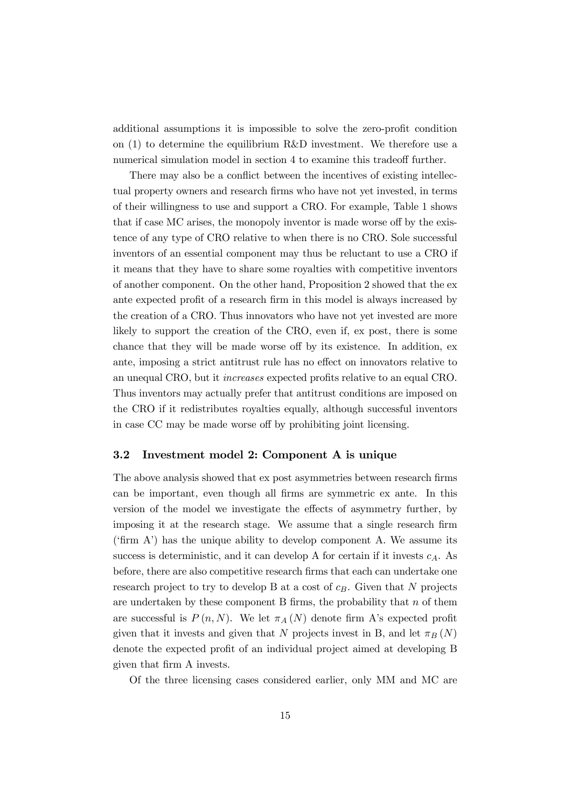additional assumptions it is impossible to solve the zero-profit condition on (1) to determine the equilibrium R&D investment. We therefore use a numerical simulation model in section 4 to examine this tradeoff further.

There may also be a conflict between the incentives of existing intellectual property owners and research firms who have not yet invested, in terms of their willingness to use and support a CRO. For example, Table 1 shows that if case MC arises, the monopoly inventor is made worse off by the existence of any type of CRO relative to when there is no CRO. Sole successful inventors of an essential component may thus be reluctant to use a CRO if it means that they have to share some royalties with competitive inventors of another component. On the other hand, Proposition 2 showed that the ex ante expected profit of a research firm in this model is always increased by the creation of a CRO. Thus innovators who have not yet invested are more likely to support the creation of the CRO, even if, ex post, there is some chance that they will be made worse off by its existence. In addition, ex ante, imposing a strict antitrust rule has no effect on innovators relative to an unequal CRO, but it increases expected profits relative to an equal CRO. Thus inventors may actually prefer that antitrust conditions are imposed on the CRO if it redistributes royalties equally, although successful inventors in case CC may be made worse off by prohibiting joint licensing.

#### 3.2 Investment model 2: Component A is unique

The above analysis showed that ex post asymmetries between research firms can be important, even though all firms are symmetric ex ante. In this version of the model we investigate the effects of asymmetry further, by imposing it at the research stage. We assume that a single research firm ('firm  $A$ ') has the unique ability to develop component A. We assume its success is deterministic, and it can develop A for certain if it invests  $c_A$ . As before, there are also competitive research firms that each can undertake one research project to try to develop B at a cost of  $c_B$ . Given that N projects are undertaken by these component B firms, the probability that  $n$  of them are successful is  $P(n, N)$ . We let  $\pi_A(N)$  denote firm A's expected profit given that it invests and given that N projects invest in B, and let  $\pi_B(N)$ denote the expected profit of an individual project aimed at developing B given that firm A invests.

Of the three licensing cases considered earlier, only MM and MC are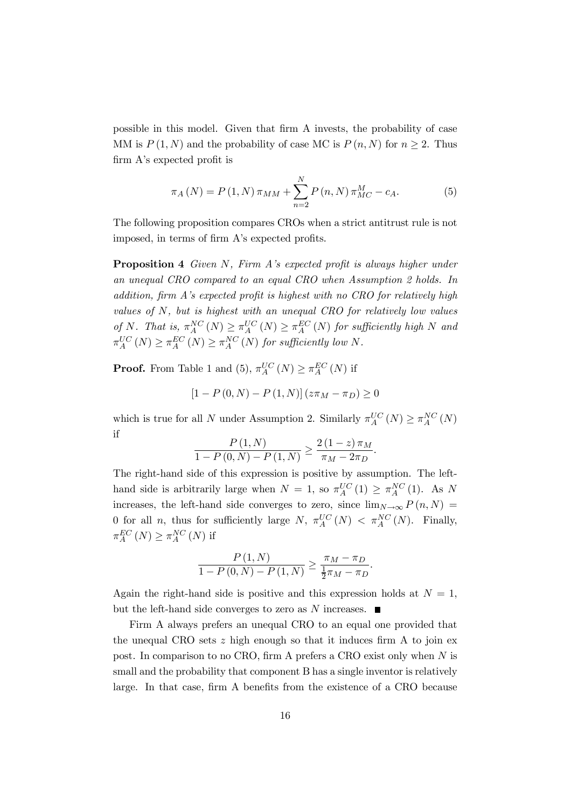possible in this model. Given that firm A invests, the probability of case MM is  $P(1, N)$  and the probability of case MC is  $P(n, N)$  for  $n > 2$ . Thus firm A's expected profit is

$$
\pi_A(N) = P(1, N) \pi_{MM} + \sum_{n=2}^{N} P(n, N) \pi_{MC}^{M} - c_A.
$$
 (5)

The following proposition compares CROs when a strict antitrust rule is not imposed, in terms of firm A's expected profits.

Proposition 4 Given N, Firm A's expected profit is always higher under an unequal CRO compared to an equal CRO when Assumption 2 holds. In addition, firm A's expected profit is highest with no CRO for relatively high values of N, but is highest with an unequal CRO for relatively low values of N. That is,  $\pi_A^{NC}(N) \geq \pi_A^{UC}(N) \geq \pi_A^{EC}(N)$  for sufficiently high N and  $\pi_A^{UC}(N) \geq \pi_A^{EC}(N) \geq \pi_A^{NC}(N)$  for sufficiently low N.

**Proof.** From Table 1 and (5),  $\pi_A^{UC}(N) \geq \pi_A^{EC}(N)$  if

$$
[1 - P(0, N) - P(1, N)] (z\pi_M - \pi_D) \ge 0
$$

which is true for all N under Assumption 2. Similarly  $\pi_A^{UC}(N) \geq \pi_A^{NC}(N)$ if

$$
\frac{P(1,N)}{1 - P(0,N) - P(1,N)} \ge \frac{2(1-z)\,\pi_M}{\pi_M - 2\pi_D}.
$$

The right-hand side of this expression is positive by assumption. The lefthand side is arbitrarily large when  $N = 1$ , so  $\pi_A^{UC}(1) \geq \pi_A^{NC}(1)$ . As N increases, the left-hand side converges to zero, since  $\lim_{N\to\infty} P(n,N) =$ 0 for all *n*, thus for sufficiently large  $N$ ,  $\pi_A^{UC}(N) < \pi_A^{NC}(N)$ . Finally,  $\pi_A^{EC} (N) \geq \pi_A^{NC} (N)$  if

$$
\frac{P(1, N)}{1 - P(0, N) - P(1, N)} \ge \frac{\pi_M - \pi_D}{\frac{1}{2}\pi_M - \pi_D}.
$$

Again the right-hand side is positive and this expression holds at  $N = 1$ , but the left-hand side converges to zero as N increases.  $\blacksquare$ 

Firm A always prefers an unequal CRO to an equal one provided that the unequal CRO sets  $z$  high enough so that it induces firm A to join ex post. In comparison to no CRO, firm A prefers a CRO exist only when N is small and the probability that component B has a single inventor is relatively large. In that case, firm A benefits from the existence of a CRO because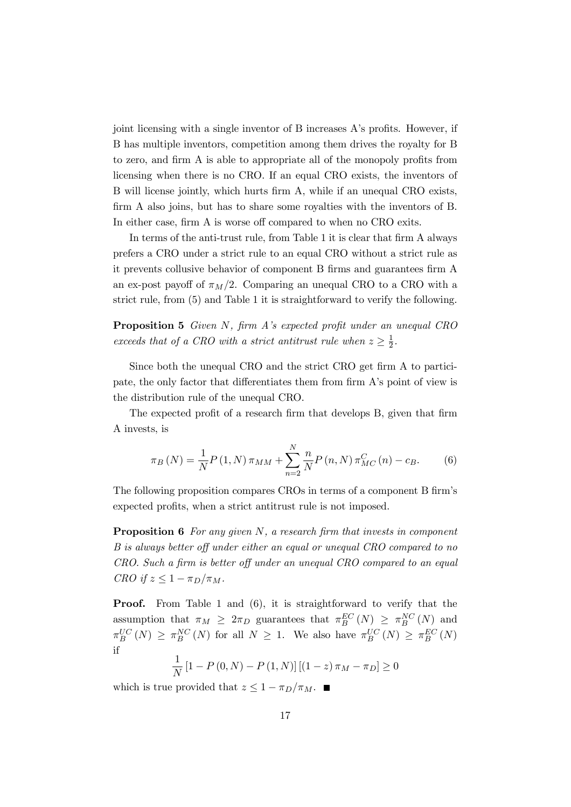joint licensing with a single inventor of B increases A's profits. However, if B has multiple inventors, competition among them drives the royalty for B to zero, and firm A is able to appropriate all of the monopoly profits from licensing when there is no CRO. If an equal CRO exists, the inventors of B will license jointly, which hurts firm A, while if an unequal CRO exists, firm A also joins, but has to share some royalties with the inventors of B. In either case, firm A is worse off compared to when no CRO exits.

In terms of the anti-trust rule, from Table 1 it is clear that firm A always prefers a CRO under a strict rule to an equal CRO without a strict rule as it prevents collusive behavior of component B firms and guarantees firm A an ex-post payoff of  $\pi_M/2$ . Comparing an unequal CRO to a CRO with a strict rule, from (5) and Table 1 it is straightforward to verify the following.

Proposition 5 Given N, firm A's expected profit under an unequal CRO exceeds that of a CRO with a strict antitrust rule when  $z \geq \frac{1}{2}$  $\frac{1}{2}$ .

Since both the unequal CRO and the strict CRO get firm A to participate, the only factor that differentiates them from firm A's point of view is the distribution rule of the unequal CRO.

The expected profit of a research firm that develops B, given that firm A invests, is

$$
\pi_B(N) = \frac{1}{N} P(1, N) \pi_{MM} + \sum_{n=2}^{N} \frac{n}{N} P(n, N) \pi_{MC}^C(n) - c_B.
$$
 (6)

The following proposition compares CROs in terms of a component B firm's expected profits, when a strict antitrust rule is not imposed.

**Proposition 6** For any given N, a research firm that invests in component B is always better off under either an equal or unequal CRO compared to no CRO. Such a firm is better off under an unequal CRO compared to an equal CRO if  $z \leq 1 - \pi_D/\pi_M$ .

**Proof.** From Table 1 and (6), it is straightforward to verify that the assumption that  $\pi_M \geq 2\pi_D$  guarantees that  $\pi_B^{EC}(N) \geq \pi_B^{NC}(N)$  and  $\pi_B^{UC}(N) \geq \pi_B^{NC}(N)$  for all  $N \geq 1$ . We also have  $\pi_B^{UC}(N) \geq \pi_B^{EC}(N)$ if

$$
\frac{1}{N} [1 - P(0, N) - P(1, N)] [(1 - z) \pi_M - \pi_D] \ge 0
$$

which is true provided that  $z \leq 1 - \pi_D/\pi_M$ .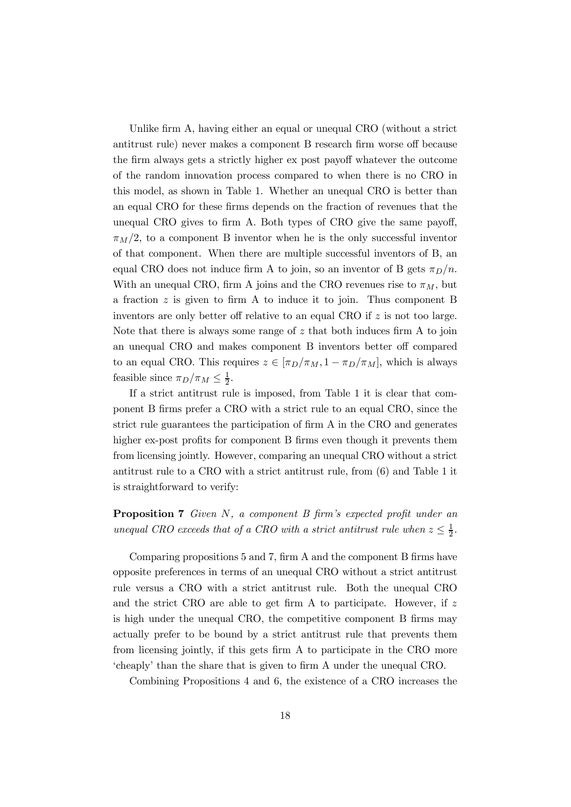Unlike firm A, having either an equal or unequal CRO (without a strict antitrust rule) never makes a component B research firm worse off because the firm always gets a strictly higher ex post payoff whatever the outcome of the random innovation process compared to when there is no CRO in this model, as shown in Table 1. Whether an unequal CRO is better than an equal CRO for these firms depends on the fraction of revenues that the unequal CRO gives to firm A. Both types of CRO give the same payoff,  $\pi_M/2$ , to a component B inventor when he is the only successful inventor of that component. When there are multiple successful inventors of B, an equal CRO does not induce firm A to join, so an inventor of B gets  $\pi_D/n$ . With an unequal CRO, firm A joins and the CRO revenues rise to  $\pi_M$ , but a fraction  $z$  is given to firm A to induce it to join. Thus component B inventors are only better off relative to an equal CRO if z is not too large. Note that there is always some range of  $z$  that both induces firm  $A$  to join an unequal CRO and makes component B inventors better off compared to an equal CRO. This requires  $z \in [\pi_D/\pi_M, 1 - \pi_D/\pi_M]$ , which is always feasible since  $\pi_D/\pi_M \leq \frac{1}{2}$  $\frac{1}{2}$ .

If a strict antitrust rule is imposed, from Table 1 it is clear that component B firms prefer a CRO with a strict rule to an equal CRO, since the strict rule guarantees the participation of firm A in the CRO and generates higher ex-post profits for component B firms even though it prevents them from licensing jointly. However, comparing an unequal CRO without a strict antitrust rule to a CRO with a strict antitrust rule, from (6) and Table 1 it is straightforward to verify:

Proposition 7 Given N, a component B firm's expected profit under an unequal CRO exceeds that of a CRO with a strict antitrust rule when  $z \leq \frac{1}{2}$  $\frac{1}{2}$ .

Comparing propositions 5 and 7, firm A and the component B firms have opposite preferences in terms of an unequal CRO without a strict antitrust rule versus a CRO with a strict antitrust rule. Both the unequal CRO and the strict CRO are able to get firm A to participate. However, if z is high under the unequal CRO, the competitive component B firms may actually prefer to be bound by a strict antitrust rule that prevents them from licensing jointly, if this gets firm A to participate in the CRO more 'cheaply' than the share that is given to firm A under the unequal CRO.

Combining Propositions 4 and 6, the existence of a CRO increases the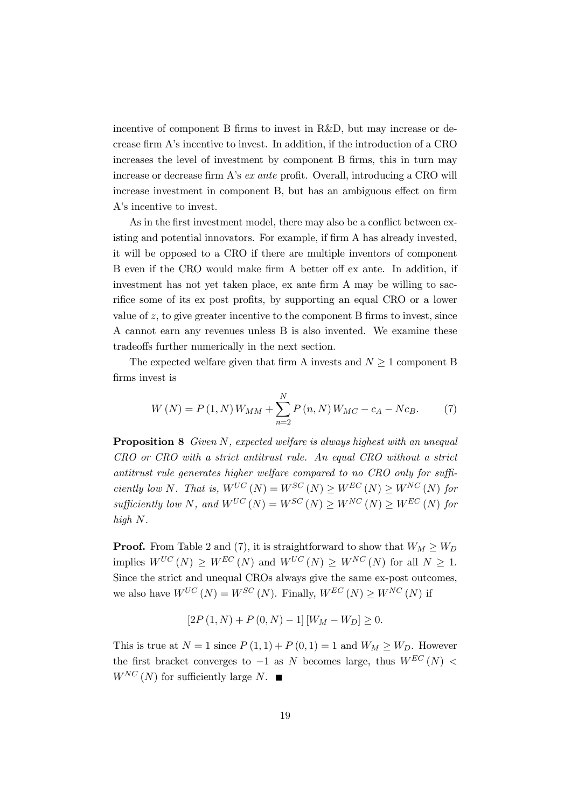incentive of component B firms to invest in R&D, but may increase or decrease firm A's incentive to invest. In addition, if the introduction of a CRO increases the level of investment by component B firms, this in turn may increase or decrease firm A's ex ante profit. Overall, introducing a CRO will increase investment in component B, but has an ambiguous effect on firm A's incentive to invest.

As in the first investment model, there may also be a conflict between existing and potential innovators. For example, if firm A has already invested, it will be opposed to a CRO if there are multiple inventors of component B even if the CRO would make firm A better off ex ante. In addition, if investment has not yet taken place, ex ante firm A may be willing to sacrifice some of its ex post profits, by supporting an equal CRO or a lower value of  $z$ , to give greater incentive to the component B firms to invest, since A cannot earn any revenues unless B is also invented. We examine these tradeoffs further numerically in the next section.

The expected welfare given that firm A invests and  $N \geq 1$  component B firms invest is

$$
W(N) = P(1, N) W_{MM} + \sum_{n=2}^{N} P(n, N) W_{MC} - c_A - Nc_B.
$$
 (7)

**Proposition 8** Given N, expected welfare is always highest with an unequal CRO or CRO with a strict antitrust rule. An equal CRO without a strict antitrust rule generates higher welfare compared to no CRO only for sufficiently low N. That is,  $W^{UC}(N) = W^{SC}(N) \geq W^{EC}(N) \geq W^{NC}(N)$  for sufficiently low N, and  $W^{UC}(N) = W^{SC}(N) > W^{NC}(N) > W^{EC}(N)$  for high N.

**Proof.** From Table 2 and (7), it is straightforward to show that  $W_M \geq W_D$ implies  $W^{UC}(N) \geq W^{EC}(N)$  and  $W^{UC}(N) \geq W^{NC}(N)$  for all  $N \geq 1$ . Since the strict and unequal CROs always give the same ex-post outcomes, we also have  $W^{UC}(N) = W^{SC}(N)$ . Finally,  $W^{EC}(N) \geq W^{NC}(N)$  if

$$
[2P(1,N) + P(0,N) - 1][W_M - W_D] \ge 0.
$$

This is true at  $N = 1$  since  $P(1, 1) + P(0, 1) = 1$  and  $W_M \geq W_D$ . However the first bracket converges to  $-1$  as N becomes large, thus  $W^{EC}(N)$  <  $W^{NC}(N)$  for sufficiently large N.  $\blacksquare$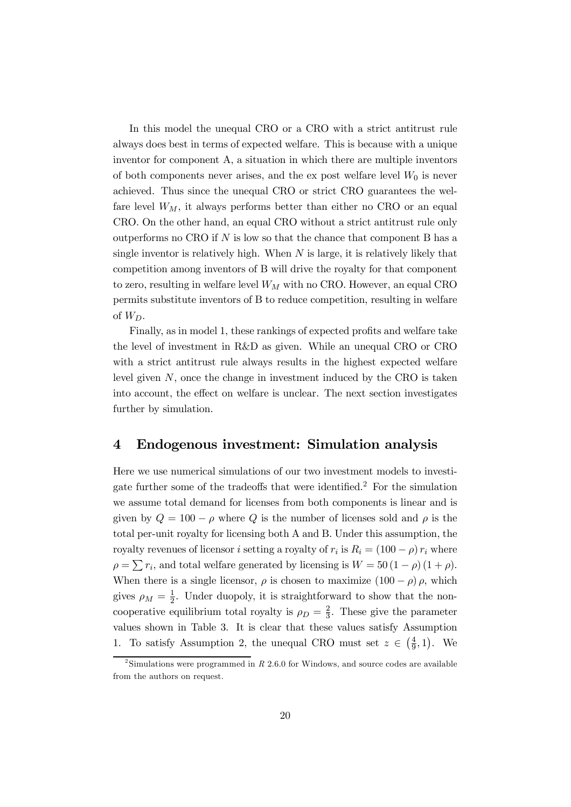In this model the unequal CRO or a CRO with a strict antitrust rule always does best in terms of expected welfare. This is because with a unique inventor for component A, a situation in which there are multiple inventors of both components never arises, and the ex post welfare level  $W_0$  is never achieved. Thus since the unequal CRO or strict CRO guarantees the welfare level  $W_M$ , it always performs better than either no CRO or an equal CRO. On the other hand, an equal CRO without a strict antitrust rule only outperforms no CRO if  $N$  is low so that the chance that component  $B$  has a single inventor is relatively high. When  $N$  is large, it is relatively likely that competition among inventors of B will drive the royalty for that component to zero, resulting in welfare level  $W_M$  with no CRO. However, an equal CRO permits substitute inventors of B to reduce competition, resulting in welfare of  $W_D$ .

Finally, as in model 1, these rankings of expected profits and welfare take the level of investment in R&D as given. While an unequal CRO or CRO with a strict antitrust rule always results in the highest expected welfare level given  $N$ , once the change in investment induced by the CRO is taken into account, the effect on welfare is unclear. The next section investigates further by simulation.

## 4 Endogenous investment: Simulation analysis

Here we use numerical simulations of our two investment models to investigate further some of the tradeoffs that were identified.<sup>2</sup> For the simulation we assume total demand for licenses from both components is linear and is given by  $Q = 100 - \rho$  where Q is the number of licenses sold and  $\rho$  is the total per-unit royalty for licensing both A and B. Under this assumption, the royalty revenues of licensor *i* setting a royalty of  $r_i$  is  $R_i = (100 - \rho) r_i$  where  $\rho = \sum r_i$ , and total welfare generated by licensing is  $W = 50 (1 - \rho) (1 + \rho)$ . When there is a single licensor,  $\rho$  is chosen to maximize  $(100 - \rho)$   $\rho$ , which gives  $\rho_M = \frac{1}{2}$  $\frac{1}{2}$ . Under duopoly, it is straightforward to show that the noncooperative equilibrium total royalty is  $\rho_D = \frac{2}{3}$  $\frac{2}{3}$ . These give the parameter values shown in Table 3. It is clear that these values satisfy Assumption 1. To satisfy Assumption 2, the unequal CRO must set  $z \in \left(\frac{4}{9}\right)$  $(\frac{4}{9}, 1)$ . We

 $2^2$ Simulations were programmed in R 2.6.0 for Windows, and source codes are available from the authors on request.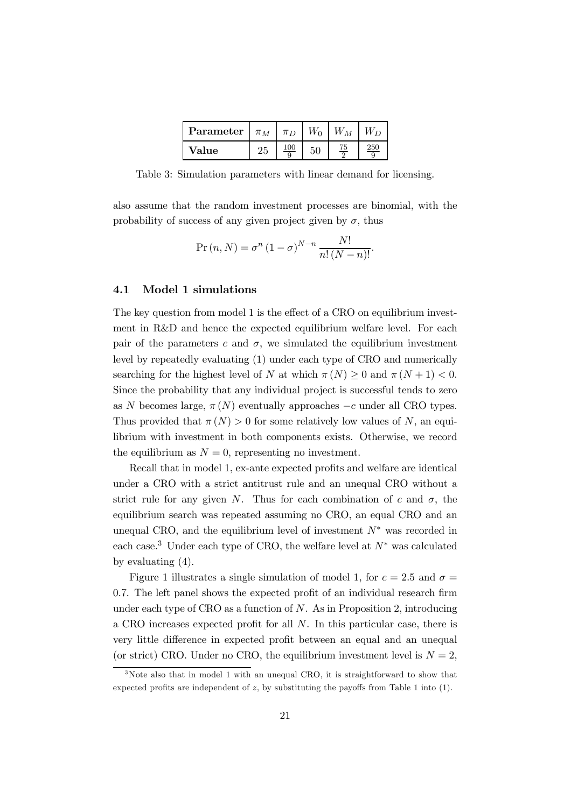| <b>Parameter</b> $\vert \pi_M \rangle$ |    | $\sqrt{\pi n}$ | $W_0$ | $W_M\,$ |     |
|----------------------------------------|----|----------------|-------|---------|-----|
| Value                                  | 25 |                |       |         | 250 |

Table 3: Simulation parameters with linear demand for licensing.

also assume that the random investment processes are binomial, with the probability of success of any given project given by  $\sigma$ , thus

$$
Pr(n, N) = \sigma^{n} (1 - \sigma)^{N-n} \frac{N!}{n! (N - n)!}.
$$

#### 4.1 Model 1 simulations

The key question from model 1 is the effect of a CRO on equilibrium investment in R&D and hence the expected equilibrium welfare level. For each pair of the parameters c and  $\sigma$ , we simulated the equilibrium investment level by repeatedly evaluating (1) under each type of CRO and numerically searching for the highest level of N at which  $\pi(N) \geq 0$  and  $\pi(N+1) < 0$ . Since the probability that any individual project is successful tends to zero as N becomes large,  $\pi(N)$  eventually approaches  $-c$  under all CRO types. Thus provided that  $\pi(N) > 0$  for some relatively low values of N, an equilibrium with investment in both components exists. Otherwise, we record the equilibrium as  $N = 0$ , representing no investment.

Recall that in model 1, ex-ante expected profits and welfare are identical under a CRO with a strict antitrust rule and an unequal CRO without a strict rule for any given N. Thus for each combination of c and  $\sigma$ , the equilibrium search was repeated assuming no CRO, an equal CRO and an unequal CRO, and the equilibrium level of investment  $N^*$  was recorded in each case.<sup>3</sup> Under each type of CRO, the welfare level at  $N^*$  was calculated by evaluating (4).

Figure 1 illustrates a single simulation of model 1, for  $c = 2.5$  and  $\sigma =$ 0.7. The left panel shows the expected profit of an individual research firm under each type of CRO as a function of  $N$ . As in Proposition 2, introducing a CRO increases expected profit for all N. In this particular case, there is very little difference in expected profit between an equal and an unequal (or strict) CRO. Under no CRO, the equilibrium investment level is  $N = 2$ ,

<sup>&</sup>lt;sup>3</sup>Note also that in model 1 with an unequal CRO, it is straightforward to show that expected profits are independent of  $z$ , by substituting the payoffs from Table 1 into  $(1)$ .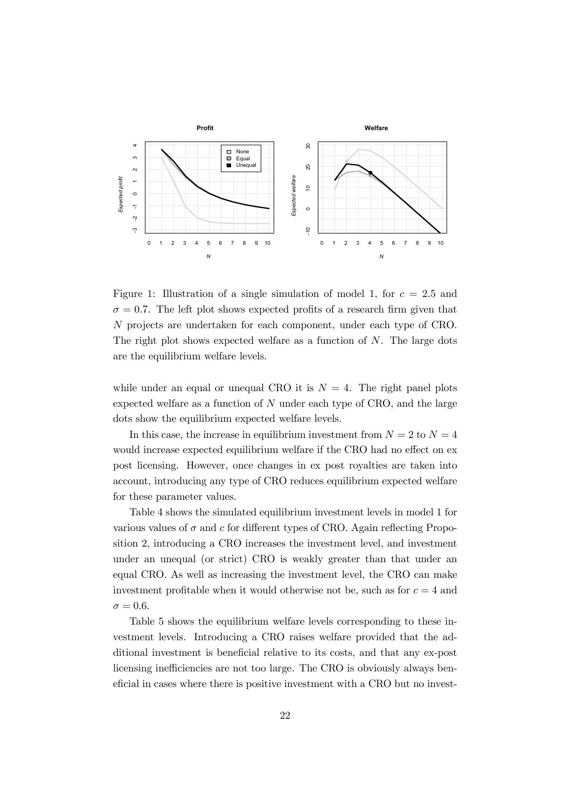

Figure 1: Illustration of a single simulation of model 1, for  $c = 2.5$  and  $\sigma = 0.7$ . The left plot shows expected profits of a research firm given that N projects are undertaken for each component, under each type of CRO. The right plot shows expected welfare as a function of  $N$ . The large dots are the equilibrium welfare levels.

while under an equal or unequal CRO it is  $N = 4$ . The right panel plots expected welfare as a function of  $N$  under each type of CRO, and the large dots show the equilibrium expected welfare levels.

In this case, the increase in equilibrium investment from  $N = 2$  to  $N = 4$ would increase expected equilibrium welfare if the CRO had no effect on ex post licensing. However, once changes in ex post royalties are taken into account, introducing any type of CRO reduces equilibrium expected welfare for these parameter values.

Table 4 shows the simulated equilibrium investment levels in model 1 for various values of  $\sigma$  and  $c$  for different types of CRO. Again reflecting Proposition 2, introducing a CRO increases the investment level, and investment under an unequal (or strict) CRO is weakly greater than that under an equal CRO. As well as increasing the investment level, the CRO can make investment profitable when it would otherwise not be, such as for  $c = 4$  and  $\sigma = 0.6$ .

Table 5 shows the equilibrium welfare levels corresponding to these investment levels. Introducing a CRO raises welfare provided that the additional investment is beneficial relative to its costs, and that any ex-post licensing inefficiencies are not too large. The CRO is obviously always beneficial in cases where there is positive investment with a CRO but no invest-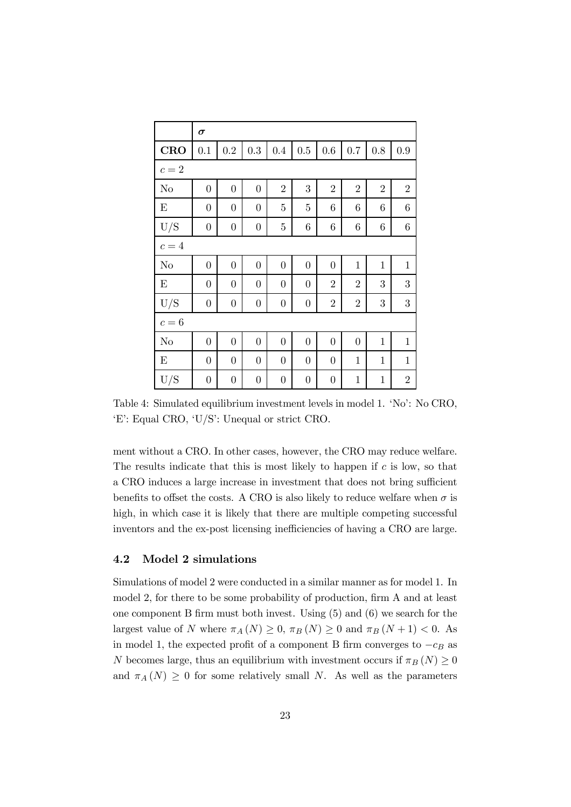|                | $\sigma$         |                  |                  |                  |                  |                  |                |                 |                |
|----------------|------------------|------------------|------------------|------------------|------------------|------------------|----------------|-----------------|----------------|
| <b>CRO</b>     | 0.1              | 0.2              | 0.3              | 0.4              | $0.5\,$          | 0.6              | 0.7            | $0.8\,$         | 0.9            |
| $c=2$          |                  |                  |                  |                  |                  |                  |                |                 |                |
| N <sub>o</sub> | $\boldsymbol{0}$ | $\overline{0}$   | $\boldsymbol{0}$ | $\overline{2}$   | 3                | $\overline{2}$   | $\overline{2}$ | $\overline{2}$  | $\overline{2}$ |
| E              | $\boldsymbol{0}$ | $\boldsymbol{0}$ | $\boldsymbol{0}$ | $\overline{5}$   | $\mathbf 5$      | 6                | 6              | $6\phantom{.}6$ | 6              |
| U/S            | $\boldsymbol{0}$ | $\boldsymbol{0}$ | $\boldsymbol{0}$ | $\bf 5$          | $\!6\!$          | $\!6\!$          | $\,6$          | $\,6$           | $\,6$          |
| $c=4$          |                  |                  |                  |                  |                  |                  |                |                 |                |
| No             | $\overline{0}$   | $\overline{0}$   | $\boldsymbol{0}$ | $\overline{0}$   | $\boldsymbol{0}$ | $\overline{0}$   | $\mathbf{1}$   | $\mathbf{1}$    | $\mathbf{1}$   |
| E              | $\boldsymbol{0}$ | $\boldsymbol{0}$ | $\boldsymbol{0}$ | $\boldsymbol{0}$ | $\boldsymbol{0}$ | $\overline{2}$   | $\overline{2}$ | 3               | 3              |
| U/S            | $\boldsymbol{0}$ | $\boldsymbol{0}$ | $\boldsymbol{0}$ | $\boldsymbol{0}$ | $\boldsymbol{0}$ | $\sqrt{2}$       | $\overline{2}$ | $\sqrt{3}$      | 3              |
| $c=6$          |                  |                  |                  |                  |                  |                  |                |                 |                |
| N <sub>o</sub> | $\boldsymbol{0}$ | $\boldsymbol{0}$ | $\boldsymbol{0}$ | $\boldsymbol{0}$ | $\boldsymbol{0}$ | $\overline{0}$   | $\overline{0}$ | $\mathbf{1}$    | $\mathbf{1}$   |
| E              | $\boldsymbol{0}$ | $\boldsymbol{0}$ | $\boldsymbol{0}$ | $\boldsymbol{0}$ | $\boldsymbol{0}$ | $\overline{0}$   | $\mathbf{1}$   | $\mathbf{1}$    | $\mathbf{1}$   |
| U/S            | $\boldsymbol{0}$ | $\boldsymbol{0}$ | $\boldsymbol{0}$ | $\boldsymbol{0}$ | $\boldsymbol{0}$ | $\boldsymbol{0}$ | $\mathbf{1}$   | $\mathbf{1}$    | $\overline{2}$ |

Table 4: Simulated equilibrium investment levels in model 1. 'No': No CRO, 'E': Equal CRO, 'U/S': Unequal or strict CRO.

ment without a CRO. In other cases, however, the CRO may reduce welfare. The results indicate that this is most likely to happen if  $c$  is low, so that a CRO induces a large increase in investment that does not bring sufficient benefits to offset the costs. A CRO is also likely to reduce welfare when  $\sigma$  is high, in which case it is likely that there are multiple competing successful inventors and the ex-post licensing inefficiencies of having a CRO are large.

#### 4.2 Model 2 simulations

Simulations of model 2 were conducted in a similar manner as for model 1. In model 2, for there to be some probability of production, firm A and at least one component B firm must both invest. Using (5) and (6) we search for the largest value of N where  $\pi_A(N) \geq 0$ ,  $\pi_B(N) \geq 0$  and  $\pi_B(N + 1) < 0$ . As in model 1, the expected profit of a component B firm converges to  $-c_B$  as N becomes large, thus an equilibrium with investment occurs if  $\pi_B (N) \geq 0$ and  $\pi_A(N) \geq 0$  for some relatively small N. As well as the parameters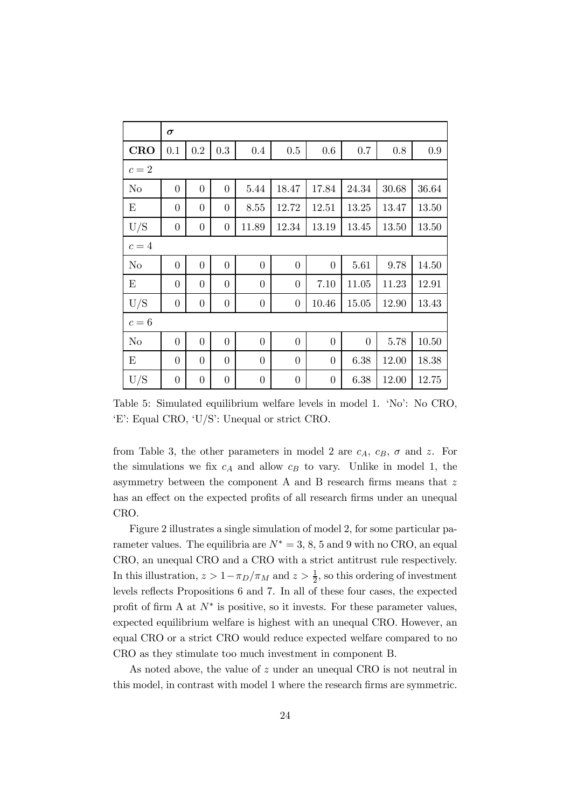|            | $\sigma$       |                  |                |                  |                  |                |                |       |       |  |
|------------|----------------|------------------|----------------|------------------|------------------|----------------|----------------|-------|-------|--|
| <b>CRO</b> | 0.1            | 0.2              | 0.3            | 0.4              | 0.5              | 0.6            | 0.7            | 0.8   | 0.9   |  |
| $c=2$      |                |                  |                |                  |                  |                |                |       |       |  |
| No         | $\overline{0}$ | $\overline{0}$   | $\overline{0}$ | 5.44             | 18.47            | 17.84          | 24.34          | 30.68 | 36.64 |  |
| Ε          | $\overline{0}$ | $\overline{0}$   | $\overline{0}$ | 8.55             | 12.72            | 12.51          | 13.25          | 13.47 | 13.50 |  |
| U/S        | $\overline{0}$ | $\overline{0}$   | $\overline{0}$ | 11.89            | 12.34            | 13.19          | 13.45          | 13.50 | 13.50 |  |
| $c=4\,$    |                |                  |                |                  |                  |                |                |       |       |  |
| No         | $\overline{0}$ | $\overline{0}$   | $\overline{0}$ | $\overline{0}$   | $\overline{0}$   | $\overline{0}$ | 5.61           | 9.78  | 14.50 |  |
| Ε          | $\overline{0}$ | $\overline{0}$   | $\overline{0}$ | $\overline{0}$   | $\overline{0}$   | 7.10           | 11.05          | 11.23 | 12.91 |  |
| U/S        | $\overline{0}$ | $\boldsymbol{0}$ | $\overline{0}$ | $\boldsymbol{0}$ | $\boldsymbol{0}$ | 10.46          | 15.05          | 12.90 | 13.43 |  |
| $c=6$      |                |                  |                |                  |                  |                |                |       |       |  |
| No         | $\overline{0}$ | $\overline{0}$   | $\overline{0}$ | $\overline{0}$   | $\overline{0}$   | $\overline{0}$ | $\overline{0}$ | 5.78  | 10.50 |  |
| E          | $\overline{0}$ | $\overline{0}$   | $\overline{0}$ | $\overline{0}$   | $\overline{0}$   | $\overline{0}$ | 6.38           | 12.00 | 18.38 |  |
| U/S        | $\overline{0}$ | $\overline{0}$   | $\overline{0}$ | $\overline{0}$   | $\overline{0}$   | $\overline{0}$ | 6.38           | 12.00 | 12.75 |  |

Table 5: Simulated equilibrium welfare levels in model 1. 'No': No CRO, 'E': Equal CRO, 'U/S': Unequal or strict CRO.

from Table 3, the other parameters in model 2 are  $c_A$ ,  $c_B$ ,  $\sigma$  and z. For the simulations we fix  $c_A$  and allow  $c_B$  to vary. Unlike in model 1, the asymmetry between the component A and B research firms means that z has an effect on the expected profits of all research firms under an unequal CRO.

Figure 2 illustrates a single simulation of model 2, for some particular parameter values. The equilibria are  $N^* = 3, 8, 5$  and 9 with no CRO, an equal CRO, an unequal CRO and a CRO with a strict antitrust rule respectively. In this illustration,  $z > 1 - \pi_D/\pi_M$  and  $z > \frac{1}{2}$ , so this ordering of investment levels reflects Propositions 6 and 7. In all of these four cases, the expected profit of firm A at  $N^*$  is positive, so it invests. For these parameter values, expected equilibrium welfare is highest with an unequal CRO. However, an equal CRO or a strict CRO would reduce expected welfare compared to no CRO as they stimulate too much investment in component B.

As noted above, the value of z under an unequal CRO is not neutral in this model, in contrast with model 1 where the research firms are symmetric.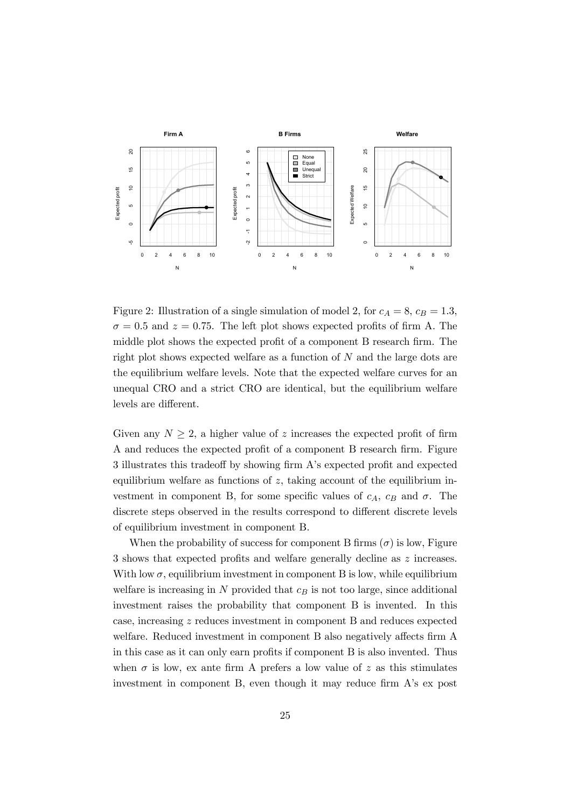

Figure 2: Illustration of a single simulation of model 2, for  $c_A = 8$ ,  $c_B = 1.3$ ,  $\sigma = 0.5$  and  $z = 0.75$ . The left plot shows expected profits of firm A. The middle plot shows the expected profit of a component B research firm. The right plot shows expected welfare as a function of  $N$  and the large dots are the equilibrium welfare levels. Note that the expected welfare curves for an unequal CRO and a strict CRO are identical, but the equilibrium welfare levels are different.

Given any  $N \geq 2$ , a higher value of z increases the expected profit of firm A and reduces the expected profit of a component B research firm. Figure 3 illustrates this tradeoff by showing firm A's expected profit and expected equilibrium welfare as functions of  $z$ , taking account of the equilibrium investment in component B, for some specific values of  $c_A$ ,  $c_B$  and  $\sigma$ . The discrete steps observed in the results correspond to different discrete levels of equilibrium investment in component B.

When the probability of success for component B firms  $(\sigma)$  is low, Figure 3 shows that expected profits and welfare generally decline as z increases. With low  $\sigma$ , equilibrium investment in component B is low, while equilibrium welfare is increasing in  $N$  provided that  $c_B$  is not too large, since additional investment raises the probability that component B is invented. In this case, increasing z reduces investment in component B and reduces expected welfare. Reduced investment in component B also negatively affects firm A in this case as it can only earn profits if component B is also invented. Thus when  $\sigma$  is low, ex ante firm A prefers a low value of z as this stimulates investment in component B, even though it may reduce firm A's ex post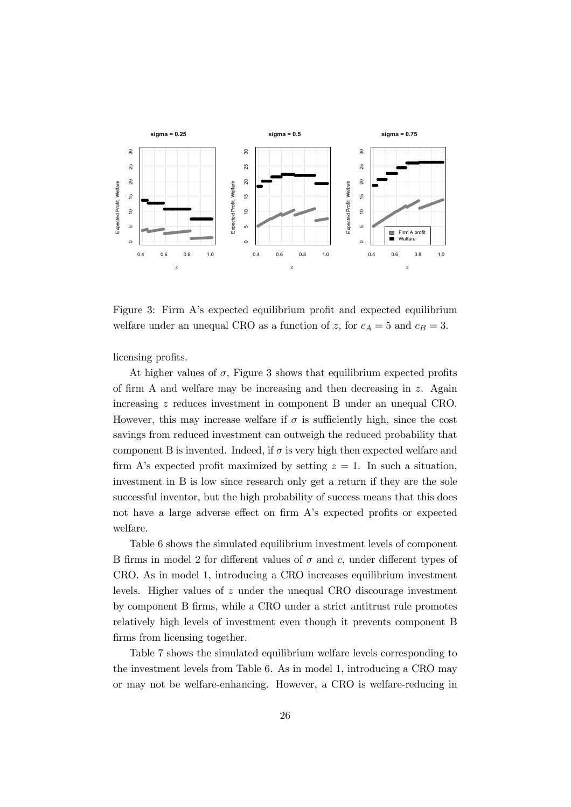

Figure 3: Firm A's expected equilibrium profit and expected equilibrium welfare under an unequal CRO as a function of z, for  $c_A = 5$  and  $c_B = 3$ .

licensing profits.

At higher values of  $\sigma$ , Figure 3 shows that equilibrium expected profits of firm A and welfare may be increasing and then decreasing in z. Again increasing z reduces investment in component B under an unequal CRO. However, this may increase welfare if  $\sigma$  is sufficiently high, since the cost savings from reduced investment can outweigh the reduced probability that component B is invented. Indeed, if  $\sigma$  is very high then expected welfare and firm A's expected profit maximized by setting  $z = 1$ . In such a situation, investment in B is low since research only get a return if they are the sole successful inventor, but the high probability of success means that this does not have a large adverse effect on firm A's expected profits or expected welfare.

Table 6 shows the simulated equilibrium investment levels of component B firms in model 2 for different values of  $\sigma$  and c, under different types of CRO. As in model 1, introducing a CRO increases equilibrium investment levels. Higher values of z under the unequal CRO discourage investment by component B firms, while a CRO under a strict antitrust rule promotes relatively high levels of investment even though it prevents component B firms from licensing together.

Table 7 shows the simulated equilibrium welfare levels corresponding to the investment levels from Table 6. As in model 1, introducing a CRO may or may not be welfare-enhancing. However, a CRO is welfare-reducing in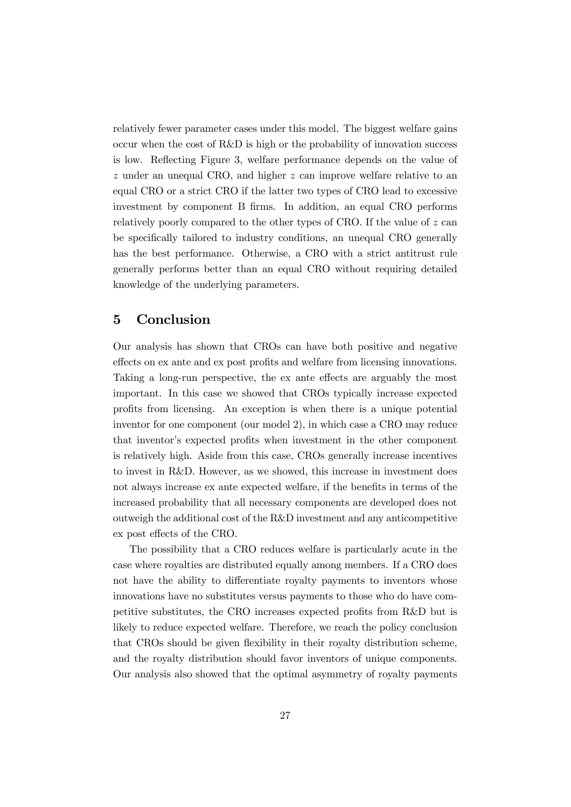relatively fewer parameter cases under this model. The biggest welfare gains occur when the cost of  $R\&D$  is high or the probability of innovation success is low. Reflecting Figure 3, welfare performance depends on the value of z under an unequal CRO, and higher z can improve welfare relative to an equal CRO or a strict CRO if the latter two types of CRO lead to excessive investment by component B firms. In addition, an equal CRO performs relatively poorly compared to the other types of CRO. If the value of z can be specifically tailored to industry conditions, an unequal CRO generally has the best performance. Otherwise, a CRO with a strict antitrust rule generally performs better than an equal CRO without requiring detailed knowledge of the underlying parameters.

## 5 Conclusion

Our analysis has shown that CROs can have both positive and negative effects on ex ante and ex post profits and welfare from licensing innovations. Taking a long-run perspective, the ex ante effects are arguably the most important. In this case we showed that CROs typically increase expected profits from licensing. An exception is when there is a unique potential inventor for one component (our model 2), in which case a CRO may reduce that inventor's expected profits when investment in the other component is relatively high. Aside from this case, CROs generally increase incentives to invest in R&D. However, as we showed, this increase in investment does not always increase ex ante expected welfare, if the benefits in terms of the increased probability that all necessary components are developed does not outweigh the additional cost of the R&D investment and any anticompetitive ex post effects of the CRO.

The possibility that a CRO reduces welfare is particularly acute in the case where royalties are distributed equally among members. If a CRO does not have the ability to differentiate royalty payments to inventors whose innovations have no substitutes versus payments to those who do have competitive substitutes, the CRO increases expected profits from R&D but is likely to reduce expected welfare. Therefore, we reach the policy conclusion that CROs should be given flexibility in their royalty distribution scheme, and the royalty distribution should favor inventors of unique components. Our analysis also showed that the optimal asymmetry of royalty payments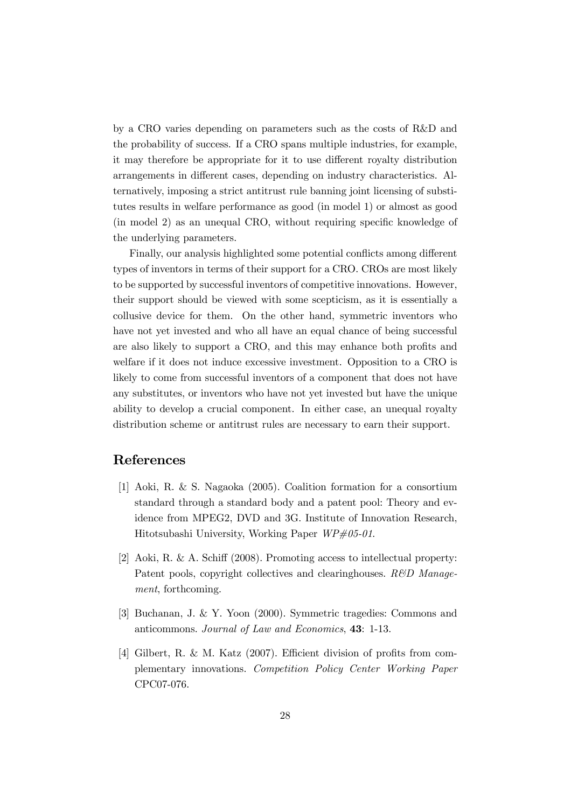by a CRO varies depending on parameters such as the costs of R&D and the probability of success. If a CRO spans multiple industries, for example, it may therefore be appropriate for it to use different royalty distribution arrangements in different cases, depending on industry characteristics. Alternatively, imposing a strict antitrust rule banning joint licensing of substitutes results in welfare performance as good (in model 1) or almost as good (in model 2) as an unequal CRO, without requiring specific knowledge of the underlying parameters.

Finally, our analysis highlighted some potential conflicts among different types of inventors in terms of their support for a CRO. CROs are most likely to be supported by successful inventors of competitive innovations. However, their support should be viewed with some scepticism, as it is essentially a collusive device for them. On the other hand, symmetric inventors who have not yet invested and who all have an equal chance of being successful are also likely to support a CRO, and this may enhance both profits and welfare if it does not induce excessive investment. Opposition to a CRO is likely to come from successful inventors of a component that does not have any substitutes, or inventors who have not yet invested but have the unique ability to develop a crucial component. In either case, an unequal royalty distribution scheme or antitrust rules are necessary to earn their support.

## References

- [1] Aoki, R. & S. Nagaoka (2005). Coalition formation for a consortium standard through a standard body and a patent pool: Theory and evidence from MPEG2, DVD and 3G. Institute of Innovation Research, Hitotsubashi University, Working Paper  $WP\#05-01$ .
- [2] Aoki, R. & A. Schiff (2008). Promoting access to intellectual property: Patent pools, copyright collectives and clearinghouses.  $R\&D$  Management, forthcoming.
- [3] Buchanan, J. & Y. Yoon (2000). Symmetric tragedies: Commons and anticommons. Journal of Law and Economics, 43: 1-13.
- [4] Gilbert, R. & M. Katz (2007). Efficient division of profits from complementary innovations. Competition Policy Center Working Paper CPC07-076.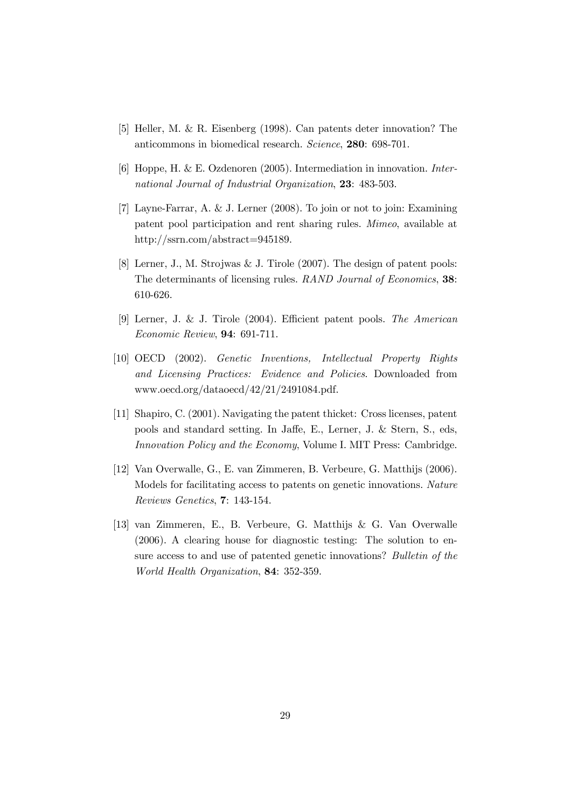- [5] Heller, M. & R. Eisenberg (1998). Can patents deter innovation? The anticommons in biomedical research. Science, 280: 698-701.
- [6] Hoppe, H. & E. Ozdenoren (2005). Intermediation in innovation. International Journal of Industrial Organization, 23: 483-503.
- [7] Layne-Farrar, A. & J. Lerner (2008). To join or not to join: Examining patent pool participation and rent sharing rules. Mimeo, available at http://ssrn.com/abstract=945189.
- [8] Lerner, J., M. Strojwas & J. Tirole (2007). The design of patent pools: The determinants of licensing rules. RAND Journal of Economics, 38: 610-626.
- [9] Lerner, J. & J. Tirole (2004). Efficient patent pools. The American Economic Review, 94: 691-711.
- [10] OECD (2002). Genetic Inventions, Intellectual Property Rights and Licensing Practices: Evidence and Policies. Downloaded from www.oecd.org/dataoecd/42/21/2491084.pdf.
- [11] Shapiro, C. (2001). Navigating the patent thicket: Cross licenses, patent pools and standard setting. In Jaffe, E., Lerner, J. & Stern, S., eds, Innovation Policy and the Economy, Volume I. MIT Press: Cambridge.
- [12] Van Overwalle, G., E. van Zimmeren, B. Verbeure, G. Matthijs (2006). Models for facilitating access to patents on genetic innovations. Nature Reviews Genetics, 7: 143-154.
- [13] van Zimmeren, E., B. Verbeure, G. Matthijs & G. Van Overwalle (2006). A clearing house for diagnostic testing: The solution to ensure access to and use of patented genetic innovations? Bulletin of the World Health Organization, 84: 352-359.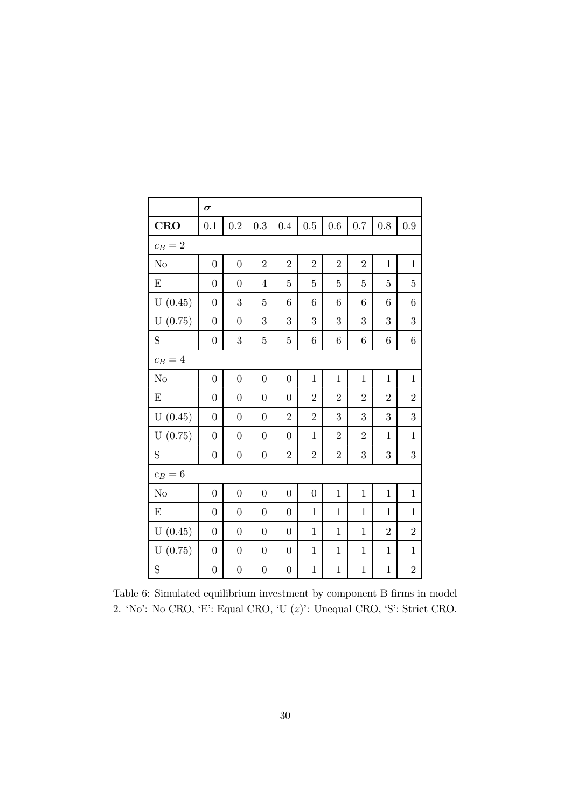|                | $\sigma$         |                |                  |                  |                |                |                |                |                 |  |  |
|----------------|------------------|----------------|------------------|------------------|----------------|----------------|----------------|----------------|-----------------|--|--|
| <b>CRO</b>     | 0.1              | 0.2            | 0.3              | 0.4              | 0.5            | 0.6            | 0.7            | 0.8            | 0.9             |  |  |
| $c_B=2$        |                  |                |                  |                  |                |                |                |                |                 |  |  |
| N <sub>o</sub> | $\overline{0}$   | $\overline{0}$ | $\overline{2}$   | $\overline{2}$   | $\overline{2}$ | $\overline{2}$ | $\overline{2}$ | $\mathbf{1}$   | $\mathbf{1}$    |  |  |
| E              | $\overline{0}$   | $\overline{0}$ | $\overline{4}$   | 5                | $\mathbf 5$    | 5              | 5              | 5              | 5               |  |  |
| U(0.45)        | $\boldsymbol{0}$ | 3              | $\overline{5}$   | $\sqrt{6}$       | 6              | 6              | 6              | 6              | 6               |  |  |
| U(0.75)        | $\overline{0}$   | $\overline{0}$ | 3                | 3                | 3              | 3              | 3              | 3              | 3               |  |  |
| S              | $\boldsymbol{0}$ | 3              | $\overline{5}$   | $\bf 5$          | 6              | 6              | $\,6$          | 6              | $6\phantom{.}6$ |  |  |
| $c_B=4$        |                  |                |                  |                  |                |                |                |                |                 |  |  |
| N <sub>o</sub> | $\overline{0}$   | $\overline{0}$ | $\boldsymbol{0}$ | $\boldsymbol{0}$ | $\mathbf{1}$   | $\mathbf{1}$   | $\mathbf{1}$   | $\mathbf{1}$   | $\mathbf{1}$    |  |  |
| $\mathbf E$    | $\boldsymbol{0}$ | $\overline{0}$ | $\boldsymbol{0}$ | $\overline{0}$   | $\overline{2}$ | $\overline{2}$ | $\overline{2}$ | $\overline{2}$ | $\overline{2}$  |  |  |
| U(0.45)        | $\boldsymbol{0}$ | $\overline{0}$ | $\overline{0}$   | $\overline{2}$   | $\overline{2}$ | 3              | 3              | 3              | 3               |  |  |
| U(0.75)        | $\boldsymbol{0}$ | $\overline{0}$ | $\overline{0}$   | $\boldsymbol{0}$ | $\mathbf{1}$   | $\overline{2}$ | $\overline{2}$ | $\mathbf{1}$   | $\mathbf{1}$    |  |  |
| S              | $\boldsymbol{0}$ | $\overline{0}$ | $\boldsymbol{0}$ | $\overline{2}$   | $\overline{2}$ | $\sqrt{2}$     | $\overline{3}$ | 3              | $\overline{3}$  |  |  |
| $c_B=6$        |                  |                |                  |                  |                |                |                |                |                 |  |  |
| No             | $\overline{0}$   | $\overline{0}$ | $\overline{0}$   | $\overline{0}$   | $\overline{0}$ | $\mathbf{1}$   | $\mathbf{1}$   | $\mathbf{1}$   | $\mathbf{1}$    |  |  |
| E              | $\overline{0}$   | $\overline{0}$ | $\overline{0}$   | $\overline{0}$   | $\mathbf{1}$   | $\mathbf{1}$   | $\mathbf{1}$   | $\mathbf{1}$   | $\mathbf{1}$    |  |  |
| U(0.45)        | $\boldsymbol{0}$ | $\overline{0}$ | $\boldsymbol{0}$ | $\boldsymbol{0}$ | $\mathbf{1}$   | $\mathbf{1}$   | $\mathbf{1}$   | $\overline{2}$ | $\overline{2}$  |  |  |
| U(0.75)        | $\boldsymbol{0}$ | $\overline{0}$ | $\overline{0}$   | $\boldsymbol{0}$ | $\mathbf{1}$   | $\mathbf{1}$   | $\mathbf{1}$   | $\mathbf{1}$   | $\mathbf{1}$    |  |  |
| S              | $\boldsymbol{0}$ | $\overline{0}$ | $\boldsymbol{0}$ | $\boldsymbol{0}$ | $\mathbf{1}$   | $\mathbf 1$    | $\mathbf{1}$   | $\mathbf{1}$   | $\overline{2}$  |  |  |

Table 6: Simulated equilibrium investment by component B firms in model 2. 'No': No CRO, 'E': Equal CRO, 'U (z)': Unequal CRO, 'S': Strict CRO.